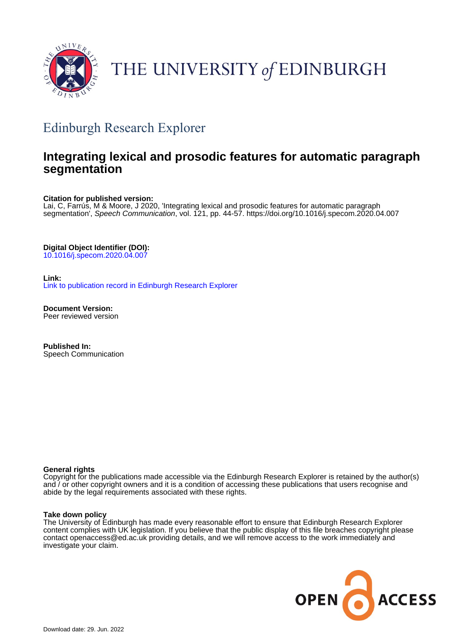

# THE UNIVERSITY of EDINBURGH

# Edinburgh Research Explorer

# **Integrating lexical and prosodic features for automatic paragraph segmentation**

# **Citation for published version:**

Lai, C, Farrús, M & Moore, J 2020, 'Integrating lexical and prosodic features for automatic paragraph segmentation', Speech Communication, vol. 121, pp. 44-57. <https://doi.org/10.1016/j.specom.2020.04.007>

**Digital Object Identifier (DOI):**

[10.1016/j.specom.2020.04.007](https://doi.org/10.1016/j.specom.2020.04.007)

**Link:**

[Link to publication record in Edinburgh Research Explorer](https://www.research.ed.ac.uk/en/publications/276c953b-c1d0-4d66-9ac5-ee2bc7c9b573)

**Document Version:** Peer reviewed version

**Published In:** Speech Communication

# **General rights**

Copyright for the publications made accessible via the Edinburgh Research Explorer is retained by the author(s) and / or other copyright owners and it is a condition of accessing these publications that users recognise and abide by the legal requirements associated with these rights.

# **Take down policy**

The University of Edinburgh has made every reasonable effort to ensure that Edinburgh Research Explorer content complies with UK legislation. If you believe that the public display of this file breaches copyright please contact openaccess@ed.ac.uk providing details, and we will remove access to the work immediately and investigate your claim.

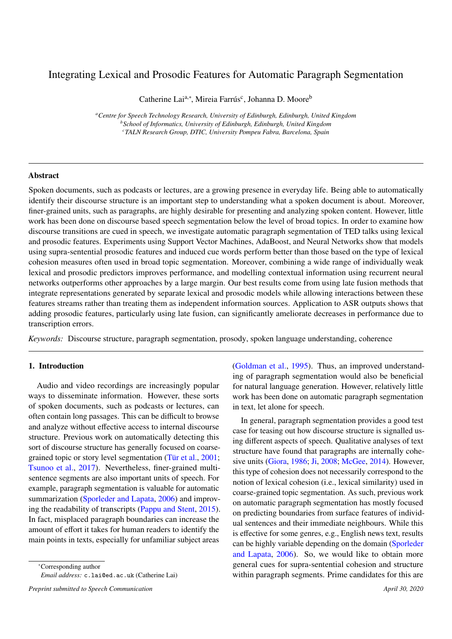# Integrating Lexical and Prosodic Features for Automatic Paragraph Segmentation

Catherine Lai<sup>a,∗</sup>, Mireia Farrús<sup>c</sup>, Johanna D. Moore<sup>b</sup>

*<sup>a</sup>Centre for Speech Technology Research, University of Edinburgh, Edinburgh, United Kingdom <sup>b</sup>School of Informatics, University of Edinburgh, Edinburgh, United Kingdom <sup>c</sup>TALN Research Group, DTIC, University Pompeu Fabra, Barcelona, Spain*

# Abstract

Spoken documents, such as podcasts or lectures, are a growing presence in everyday life. Being able to automatically identify their discourse structure is an important step to understanding what a spoken document is about. Moreover, finer-grained units, such as paragraphs, are highly desirable for presenting and analyzing spoken content. However, little work has been done on discourse based speech segmentation below the level of broad topics. In order to examine how discourse transitions are cued in speech, we investigate automatic paragraph segmentation of TED talks using lexical and prosodic features. Experiments using Support Vector Machines, AdaBoost, and Neural Networks show that models using supra-sentential prosodic features and induced cue words perform better than those based on the type of lexical cohesion measures often used in broad topic segmentation. Moreover, combining a wide range of individually weak lexical and prosodic predictors improves performance, and modelling contextual information using recurrent neural networks outperforms other approaches by a large margin. Our best results come from using late fusion methods that integrate representations generated by separate lexical and prosodic models while allowing interactions between these features streams rather than treating them as independent information sources. Application to ASR outputs shows that adding prosodic features, particularly using late fusion, can significantly ameliorate decreases in performance due to transcription errors.

*Keywords:* Discourse structure, paragraph segmentation, prosody, spoken language understanding, coherence

#### 1. Introduction

Audio and video recordings are increasingly popular ways to disseminate information. However, these sorts of spoken documents, such as podcasts or lectures, can often contain long passages. This can be difficult to browse and analyze without effective access to internal discourse structure. Previous work on automatically detecting this sort of discourse structure has generally focused on coarsegrained topic or story level segmentation [\(Tür et al.,](#page-20-0) [2001;](#page-20-0) [Tsunoo et al.,](#page-20-1) [2017\)](#page-20-1). Nevertheless, finer-grained multisentence segments are also important units of speech. For example, paragraph segmentation is valuable for automatic summarization [\(Sporleder and Lapata,](#page-20-2) [2006\)](#page-20-2) and improving the readability of transcripts [\(Pappu and Stent,](#page-20-3) [2015\)](#page-20-3). In fact, misplaced paragraph boundaries can increase the amount of effort it takes for human readers to identify the main points in texts, especially for unfamiliar subject areas

<sup>∗</sup>Corresponding author

*Email address:* c.lai@ed.ac.uk (Catherine Lai)

*Preprint submitted to Speech Communication April 30, 2020*

[\(Goldman et al.,](#page-19-0) [1995\)](#page-19-0). Thus, an improved understanding of paragraph segmentation would also be beneficial for natural language generation. However, relatively little work has been done on automatic paragraph segmentation in text, let alone for speech.

In general, paragraph segmentation provides a good test case for teasing out how discourse structure is signalled using different aspects of speech. Qualitative analyses of text structure have found that paragraphs are internally cohesive units [\(Giora,](#page-19-1) [1986;](#page-19-1) [Ji,](#page-19-2) [2008;](#page-19-2) [McGee,](#page-20-4) [2014\)](#page-20-4). However, this type of cohesion does not necessarily correspond to the notion of lexical cohesion (i.e., lexical similarity) used in coarse-grained topic segmentation. As such, previous work on automatic paragraph segmentation has mostly focused on predicting boundaries from surface features of individual sentences and their immediate neighbours. While this is effective for some genres, e.g., English news text, results can be highly variable depending on the domain [\(Sporleder](#page-20-2) [and Lapata,](#page-20-2) [2006\)](#page-20-2). So, we would like to obtain more general cues for supra-sentential cohesion and structure within paragraph segments. Prime candidates for this are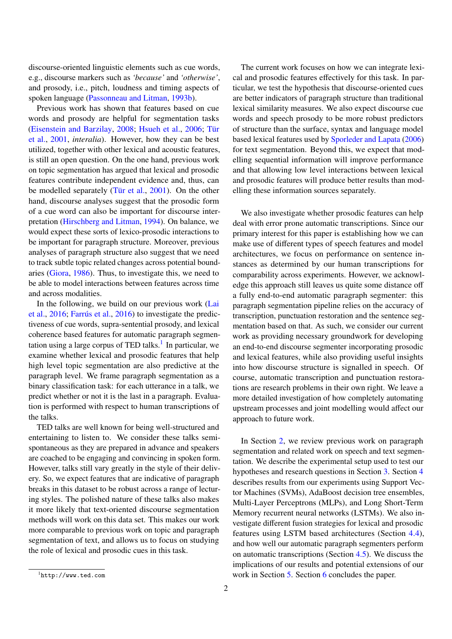discourse-oriented linguistic elements such as cue words, e.g., discourse markers such as *'because'* and *'otherwise'*, and prosody, i.e., pitch, loudness and timing aspects of spoken language [\(Passonneau and Litman,](#page-20-5) [1993b\)](#page-20-5).

Previous work has shown that features based on cue words and prosody are helpful for segmentation tasks [\(Eisenstein and Barzilay,](#page-18-0) [2008;](#page-18-0) [Hsueh et al.,](#page-19-3) [2006;](#page-19-3) [Tür](#page-20-0) [et al.,](#page-20-0) [2001,](#page-20-0) *interalia*). However, how they can be best utilized, together with other lexical and acoustic features, is still an open question. On the one hand, previous work on topic segmentation has argued that lexical and prosodic features contribute independent evidence and, thus, can be modelled separately [\(Tür et al.,](#page-20-0) [2001\)](#page-20-0). On the other hand, discourse analyses suggest that the prosodic form of a cue word can also be important for discourse interpretation [\(Hirschberg and Litman,](#page-19-4) [1994\)](#page-19-4). On balance, we would expect these sorts of lexico-prosodic interactions to be important for paragraph structure. Moreover, previous analyses of paragraph structure also suggest that we need to track subtle topic related changes across potential boundaries [\(Giora,](#page-19-1) [1986\)](#page-19-1). Thus, to investigate this, we need to be able to model interactions between features across time and across modalities.

In the following, we build on our previous work [\(Lai](#page-19-5) [et al.,](#page-19-5) [2016;](#page-19-5) [Farrús et al.,](#page-18-1) [2016\)](#page-18-1) to investigate the predictiveness of cue words, supra-sentential prosody, and lexical coherence based features for automatic paragraph segmen-tation using a large corpus of TED talks.<sup>[1](#page-2-0)</sup> In particular, we examine whether lexical and prosodic features that help high level topic segmentation are also predictive at the paragraph level. We frame paragraph segmentation as a binary classification task: for each utterance in a talk, we predict whether or not it is the last in a paragraph. Evaluation is performed with respect to human transcriptions of the talks.

TED talks are well known for being well-structured and entertaining to listen to. We consider these talks semispontaneous as they are prepared in advance and speakers are coached to be engaging and convincing in spoken form. However, talks still vary greatly in the style of their delivery. So, we expect features that are indicative of paragraph breaks in this dataset to be robust across a range of lecturing styles. The polished nature of these talks also makes it more likely that text-oriented discourse segmentation methods will work on this data set. This makes our work more comparable to previous work on topic and paragraph segmentation of text, and allows us to focus on studying the role of lexical and prosodic cues in this task.

The current work focuses on how we can integrate lexical and prosodic features effectively for this task. In particular, we test the hypothesis that discourse-oriented cues are better indicators of paragraph structure than traditional lexical similarity measures. We also expect discourse cue words and speech prosody to be more robust predictors of structure than the surface, syntax and language model based lexical features used by [Sporleder and Lapata](#page-20-2) [\(2006\)](#page-20-2) for text segmentation. Beyond this, we expect that modelling sequential information will improve performance and that allowing low level interactions between lexical and prosodic features will produce better results than modelling these information sources separately.

We also investigate whether prosodic features can help deal with error prone automatic transcriptions. Since our primary interest for this paper is establishing how we can make use of different types of speech features and model architectures, we focus on performance on sentence instances as determined by our human transcriptions for comparability across experiments. However, we acknowledge this approach still leaves us quite some distance off a fully end-to-end automatic paragraph segmenter: this paragraph segmentation pipeline relies on the accuracy of transcription, punctuation restoration and the sentence segmentation based on that. As such, we consider our current work as providing necessary groundwork for developing an end-to-end discourse segmenter incorporating prosodic and lexical features, while also providing useful insights into how discourse structure is signalled in speech. Of course, automatic transcription and punctuation restorations are research problems in their own right. We leave a more detailed investigation of how completely automating upstream processes and joint modelling would affect our approach to future work.

In Section [2,](#page-3-0) we review previous work on paragraph segmentation and related work on speech and text segmentation. We describe the experimental setup used to test our hypotheses and research questions in Section [3.](#page-5-0) Section [4](#page-10-0) describes results from our experiments using Support Vector Machines (SVMs), AdaBoost decision tree ensembles, Multi-Layer Perceptrons (MLPs), and Long Short-Term Memory recurrent neural networks (LSTMs). We also investigate different fusion strategies for lexical and prosodic features using LSTM based architectures (Section [4.4\)](#page-12-0), and how well our automatic paragraph segmenters perform on automatic transcriptions (Section [4.5\)](#page-14-0). We discuss the implications of our results and potential extensions of our work in Section [5.](#page-16-0) Section [6](#page-17-0) concludes the paper.

<span id="page-2-0"></span> ${}^{1}$ http://www.ted.com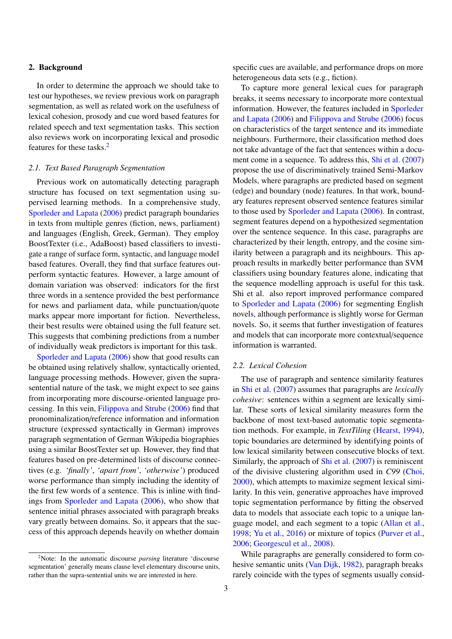#### <span id="page-3-0"></span>2. Background

In order to determine the approach we should take to test our hypotheses, we review previous work on paragraph segmentation, as well as related work on the usefulness of lexical cohesion, prosody and cue word based features for related speech and text segmentation tasks. This section also reviews work on incorporating lexical and prosodic features for these tasks.[2](#page-3-1)

#### *2.1. Text Based Paragraph Segmentation*

Previous work on automatically detecting paragraph structure has focused on text segmentation using supervised learning methods. In a comprehensive study, [Sporleder and Lapata](#page-20-2) [\(2006\)](#page-20-2) predict paragraph boundaries in texts from multiple genres (fiction, news, parliament) and languages (English, Greek, German). They employ BoostTexter (i.e., AdaBoost) based classifiers to investigate a range of surface form, syntactic, and language model based features. Overall, they find that surface features outperform syntactic features. However, a large amount of domain variation was observed: indicators for the first three words in a sentence provided the best performance for news and parliament data, while punctuation/quote marks appear more important for fiction. Nevertheless, their best results were obtained using the full feature set. This suggests that combining predictions from a number of individually weak predictors is important for this task.

[Sporleder and Lapata](#page-20-2) [\(2006\)](#page-20-2) show that good results can be obtained using relatively shallow, syntactically oriented, language processing methods. However, given the suprasentential nature of the task, we might expect to see gains from incorporating more discourse-oriented language processing. In this vein, [Filippova and Strube](#page-18-2) [\(2006\)](#page-18-2) find that pronominalization/reference information and information structure (expressed syntactically in German) improves paragraph segmentation of German Wikipedia biographies using a similar BoostTexter set up. However, they find that features based on pre-determined lists of discourse connectives (e.g. *'finally'*, *'apart from'*, *'otherwise'*) produced worse performance than simply including the identity of the first few words of a sentence. This is inline with findings from [Sporleder and Lapata](#page-20-2) [\(2006\)](#page-20-2), who show that sentence initial phrases associated with paragraph breaks vary greatly between domains. So, it appears that the success of this approach depends heavily on whether domain

specific cues are available, and performance drops on more heterogeneous data sets (e.g., fiction).

To capture more general lexical cues for paragraph breaks, it seems necessary to incorporate more contextual information. However, the features included in [Sporleder](#page-20-2) [and Lapata](#page-20-2) [\(2006\)](#page-20-2) and [Filippova and Strube](#page-18-2) [\(2006\)](#page-18-2) focus on characteristics of the target sentence and its immediate neighbours. Furthermore, their classification method does not take advantage of the fact that sentences within a document come in a sequence. To address this, [Shi et al.](#page-20-6) [\(2007\)](#page-20-6) propose the use of discriminatively trained Semi-Markov Models, where paragraphs are predicted based on segment (edge) and boundary (node) features. In that work, boundary features represent observed sentence features similar to those used by [Sporleder and Lapata](#page-20-2) [\(2006\)](#page-20-2). In contrast, segment features depend on a hypothesized segmentation over the sentence sequence. In this case, paragraphs are characterized by their length, entropy, and the cosine similarity between a paragraph and its neighbours. This approach results in markedly better performance than SVM classifiers using boundary features alone, indicating that the sequence modelling approach is useful for this task. Shi et al. also report improved performance compared to [Sporleder and Lapata](#page-20-2) [\(2006\)](#page-20-2) for segmenting English novels, although performance is slightly worse for German novels. So, it seems that further investigation of features and models that can incorporate more contextual/sequence information is warranted.

#### *2.2. Lexical Cohesion*

The use of paragraph and sentence similarity features in [Shi et al.](#page-20-6) [\(2007\)](#page-20-6) assumes that paragraphs are *lexically cohesive*: sentences within a segment are lexically similar. These sorts of lexical similarity measures form the backbone of most text-based automatic topic segmentation methods. For example, in *TextTiling* [\(Hearst,](#page-19-6) [1994\)](#page-19-6), topic boundaries are determined by identifying points of low lexical similarity between consecutive blocks of text. Similarly, the approach of [Shi et al.](#page-20-6) [\(2007\)](#page-20-6) is reminiscent of the divisive clustering algorithm used in *C99* [\(Choi,](#page-18-3) [2000\)](#page-18-3), which attempts to maximize segment lexical similarity. In this vein, generative approaches have improved topic segmentation performance by fitting the observed data to models that associate each topic to a unique language model, and each segment to a topic [\(Allan et al.,](#page-18-4) [1998;](#page-18-4) [Yu et al.,](#page-21-0) [2016\)](#page-21-0) or mixture of topics [\(Purver et al.,](#page-20-7) [2006;](#page-20-7) [Georgescul et al.,](#page-19-7) [2008\)](#page-19-7).

While paragraphs are generally considered to form cohesive semantic units [\(Van Dijk,](#page-21-1) [1982\)](#page-21-1), paragraph breaks rarely coincide with the types of segments usually consid-

<span id="page-3-1"></span><sup>2</sup>Note: In the automatic discourse *parsing* literature 'discourse segmentation' generally means clause level elementary discourse units, rather than the supra-sentential units we are interested in here.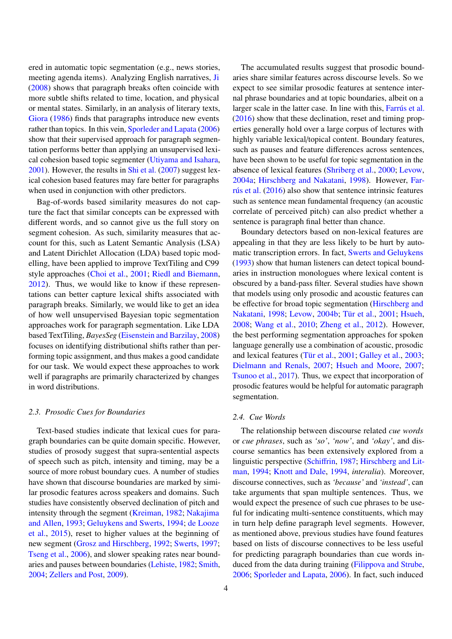ered in automatic topic segmentation (e.g., news stories, meeting agenda items). Analyzing English narratives, [Ji](#page-19-2) [\(2008\)](#page-19-2) shows that paragraph breaks often coincide with more subtle shifts related to time, location, and physical or mental states. Similarly, in an analysis of literary texts, [Giora](#page-19-1) [\(1986\)](#page-19-1) finds that paragraphs introduce new events rather than topics. In this vein, [Sporleder and Lapata](#page-20-2) [\(2006\)](#page-20-2) show that their supervised approach for paragraph segmentation performs better than applying an unsupervised lexical cohesion based topic segmenter [\(Utiyama and Isahara,](#page-21-2) [2001\)](#page-21-2). However, the results in [Shi et al.](#page-20-6) [\(2007\)](#page-20-6) suggest lexical cohesion based features may fare better for paragraphs when used in conjunction with other predictors.

Bag-of-words based similarity measures do not capture the fact that similar concepts can be expressed with different words, and so cannot give us the full story on segment cohesion. As such, similarity measures that account for this, such as Latent Semantic Analysis (LSA) and Latent Dirichlet Allocation (LDA) based topic modelling, have been applied to improve TextTiling and C99 style approaches [\(Choi et al.,](#page-18-5) [2001;](#page-18-5) [Riedl and Biemann,](#page-20-8) [2012\)](#page-20-8). Thus, we would like to know if these representations can better capture lexical shifts associated with paragraph breaks. Similarly, we would like to get an idea of how well unsupervised Bayesian topic segmentation approaches work for paragraph segmentation. Like LDA based TextTiling, *BayesSeg* [\(Eisenstein and Barzilay,](#page-18-0) [2008\)](#page-18-0) focuses on identifying distributional shifts rather than performing topic assignment, and thus makes a good candidate for our task. We would expect these approaches to work well if paragraphs are primarily characterized by changes in word distributions.

#### *2.3. Prosodic Cues for Boundaries*

Text-based studies indicate that lexical cues for paragraph boundaries can be quite domain specific. However, studies of prosody suggest that supra-sentential aspects of speech such as pitch, intensity and timing, may be a source of more robust boundary cues. A number of studies have shown that discourse boundaries are marked by similar prosodic features across speakers and domains. Such studies have consistently observed declination of pitch and intensity through the segment [\(Kreiman,](#page-19-8) [1982;](#page-19-8) [Nakajima](#page-20-9) [and Allen,](#page-20-9) [1993;](#page-20-9) [Geluykens and Swerts,](#page-19-9) [1994;](#page-19-9) [de Looze](#page-18-6) [et al.,](#page-18-6) [2015\)](#page-18-6), reset to higher values at the beginning of new segment [\(Grosz and Hirschberg,](#page-19-10) [1992;](#page-19-10) [Swerts,](#page-20-10) [1997;](#page-20-10) [Tseng et al.,](#page-20-11) [2006\)](#page-20-11), and slower speaking rates near boundaries and pauses between boundaries [\(Lehiste,](#page-19-11) [1982;](#page-19-11) [Smith,](#page-20-12) [2004;](#page-20-12) [Zellers and Post,](#page-21-3) [2009\)](#page-21-3).

The accumulated results suggest that prosodic boundaries share similar features across discourse levels. So we expect to see similar prosodic features at sentence internal phrase boundaries and at topic boundaries, albeit on a larger scale in the latter case. In line with this, [Farrús et al.](#page-18-1) [\(2016\)](#page-18-1) show that these declination, reset and timing properties generally hold over a large corpus of lectures with highly variable lexical/topical content. Boundary features, such as pauses and feature differences across sentences, have been shown to be useful for topic segmentation in the absence of lexical features [\(Shriberg et al.,](#page-20-13) [2000;](#page-20-13) [Levow,](#page-19-12) [2004a;](#page-19-12) [Hirschberg and Nakatani,](#page-19-13) [1998\)](#page-19-13). However, [Far](#page-18-1)[rús et al.](#page-18-1) [\(2016\)](#page-18-1) also show that sentence intrinsic features such as sentence mean fundamental frequency (an acoustic correlate of perceived pitch) can also predict whether a sentence is paragraph final better than chance.

Boundary detectors based on non-lexical features are appealing in that they are less likely to be hurt by automatic transcription errors. In fact, [Swerts and Geluykens](#page-20-14) [\(1993\)](#page-20-14) show that human listeners can detect topical boundaries in instruction monologues where lexical content is obscured by a band-pass filter. Several studies have shown that models using only prosodic and acoustic features can be effective for broad topic segmentation [\(Hirschberg and](#page-19-13) [Nakatani,](#page-19-13) [1998;](#page-19-13) [Levow,](#page-19-14) [2004b;](#page-19-14) [Tür et al.,](#page-20-0) [2001;](#page-20-0) [Hsueh,](#page-19-15) [2008;](#page-19-15) [Wang et al.,](#page-21-4) [2010;](#page-21-4) [Zheng et al.,](#page-21-5) [2012\)](#page-21-5). However, the best performing segmentation approaches for spoken language generally use a combination of acoustic, prosodic and lexical features [\(Tür et al.,](#page-20-0) [2001;](#page-20-0) [Galley et al.,](#page-18-7) [2003;](#page-18-7) [Dielmann and Renals,](#page-18-8) [2007;](#page-18-8) [Hsueh and Moore,](#page-19-16) [2007;](#page-19-16) [Tsunoo et al.,](#page-20-1) [2017\)](#page-20-1). Thus, we expect that incorporation of prosodic features would be helpful for automatic paragraph segmentation.

#### *2.4. Cue Words*

The relationship between discourse related *cue words* or *cue phrases*, such as *'so'*, *'now'*, and *'okay'*, and discourse semantics has been extensively explored from a linguistic perspective [\(Schi](#page-20-15)ffrin, [1987;](#page-20-15) [Hirschberg and Lit](#page-19-4)[man,](#page-19-4) [1994;](#page-19-4) [Knott and Dale,](#page-19-17) [1994,](#page-19-17) *interalia*). Moreover, discourse connectives, such as *'because'* and *'instead'*, can take arguments that span multiple sentences. Thus, we would expect the presence of such cue phrases to be useful for indicating multi-sentence constituents, which may in turn help define paragraph level segments. However, as mentioned above, previous studies have found features based on lists of discourse connectives to be less useful for predicting paragraph boundaries than cue words induced from the data during training [\(Filippova and Strube,](#page-18-2) [2006;](#page-18-2) [Sporleder and Lapata,](#page-20-2) [2006\)](#page-20-2). In fact, such induced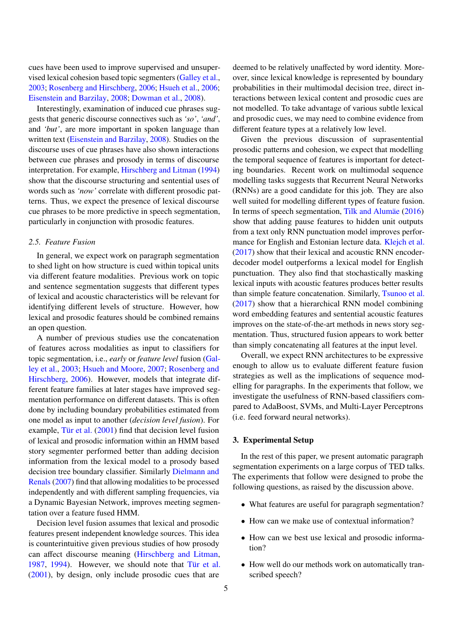cues have been used to improve supervised and unsupervised lexical cohesion based topic segmenters [\(Galley et al.,](#page-18-7) [2003;](#page-18-7) [Rosenberg and Hirschberg,](#page-20-16) [2006;](#page-20-16) [Hsueh et al.,](#page-19-3) [2006;](#page-19-3) [Eisenstein and Barzilay,](#page-18-0) [2008;](#page-18-0) [Dowman et al.,](#page-18-9) [2008\)](#page-18-9).

Interestingly, examination of induced cue phrases suggests that generic discourse connectives such as *'so'*, *'and'*, and *'but'*, are more important in spoken language than written text [\(Eisenstein and Barzilay,](#page-18-0) [2008\)](#page-18-0). Studies on the discourse uses of cue phrases have also shown interactions between cue phrases and prosody in terms of discourse interpretation. For example, [Hirschberg and Litman](#page-19-4) [\(1994\)](#page-19-4) show that the discourse structuring and sentential uses of words such as *'now'* correlate with different prosodic patterns. Thus, we expect the presence of lexical discourse cue phrases to be more predictive in speech segmentation, particularly in conjunction with prosodic features.

#### <span id="page-5-1"></span>*2.5. Feature Fusion*

In general, we expect work on paragraph segmentation to shed light on how structure is cued within topical units via different feature modalities. Previous work on topic and sentence segmentation suggests that different types of lexical and acoustic characteristics will be relevant for identifying different levels of structure. However, how lexical and prosodic features should be combined remains an open question.

A number of previous studies use the concatenation of features across modalities as input to classifiers for topic segmentation, i.e., *early* or *feature level* fusion [\(Gal](#page-18-7)[ley et al.,](#page-18-7) [2003;](#page-18-7) [Hsueh and Moore,](#page-19-16) [2007;](#page-19-16) [Rosenberg and](#page-20-16) [Hirschberg,](#page-20-16) [2006\)](#page-20-16). However, models that integrate different feature families at later stages have improved segmentation performance on different datasets. This is often done by including boundary probabilities estimated from one model as input to another (*decision level fusion*). For example, [Tür et al.](#page-20-0) [\(2001\)](#page-20-0) find that decision level fusion of lexical and prosodic information within an HMM based story segmenter performed better than adding decision information from the lexical model to a prosody based decision tree boundary classifier. Similarly [Dielmann and](#page-18-8) [Renals](#page-18-8) [\(2007\)](#page-18-8) find that allowing modalities to be processed independently and with different sampling frequencies, via a Dynamic Bayesian Network, improves meeting segmentation over a feature fused HMM.

Decision level fusion assumes that lexical and prosodic features present independent knowledge sources. This idea is counterintuitive given previous studies of how prosody can affect discourse meaning [\(Hirschberg and Litman,](#page-19-18) [1987,](#page-19-18) [1994\)](#page-19-4). However, we should note that [Tür et al.](#page-20-0) [\(2001\)](#page-20-0), by design, only include prosodic cues that are

deemed to be relatively unaffected by word identity. Moreover, since lexical knowledge is represented by boundary probabilities in their multimodal decision tree, direct interactions between lexical content and prosodic cues are not modelled. To take advantage of various subtle lexical and prosodic cues, we may need to combine evidence from different feature types at a relatively low level.

Given the previous discussion of suprasentential prosodic patterns and cohesion, we expect that modelling the temporal sequence of features is important for detecting boundaries. Recent work on multimodal sequence modelling tasks suggests that Recurrent Neural Networks (RNNs) are a good candidate for this job. They are also well suited for modelling different types of feature fusion. In terms of speech segmentation, [Tilk and Alumäe](#page-20-17) [\(2016\)](#page-20-17) show that adding pause features to hidden unit outputs from a text only RNN punctuation model improves performance for English and Estonian lecture data. [Klejch et al.](#page-19-19) [\(2017\)](#page-19-19) show that their lexical and acoustic RNN encoderdecoder model outperforms a lexical model for English punctuation. They also find that stochastically masking lexical inputs with acoustic features produces better results than simple feature concatenation. Similarly, [Tsunoo et al.](#page-20-1) [\(2017\)](#page-20-1) show that a hierarchical RNN model combining word embedding features and sentential acoustic features improves on the state-of-the-art methods in news story segmentation. Thus, structured fusion appears to work better than simply concatenating all features at the input level.

Overall, we expect RNN architectures to be expressive enough to allow us to evaluate different feature fusion strategies as well as the implications of sequence modelling for paragraphs. In the experiments that follow, we investigate the usefulness of RNN-based classifiers compared to AdaBoost, SVMs, and Multi-Layer Perceptrons (i.e. feed forward neural networks).

#### <span id="page-5-0"></span>3. Experimental Setup

In the rest of this paper, we present automatic paragraph segmentation experiments on a large corpus of TED talks. The experiments that follow were designed to probe the following questions, as raised by the discussion above.

- What features are useful for paragraph segmentation?
- How can we make use of contextual information?
- How can we best use lexical and prosodic information?
- How well do our methods work on automatically transcribed speech?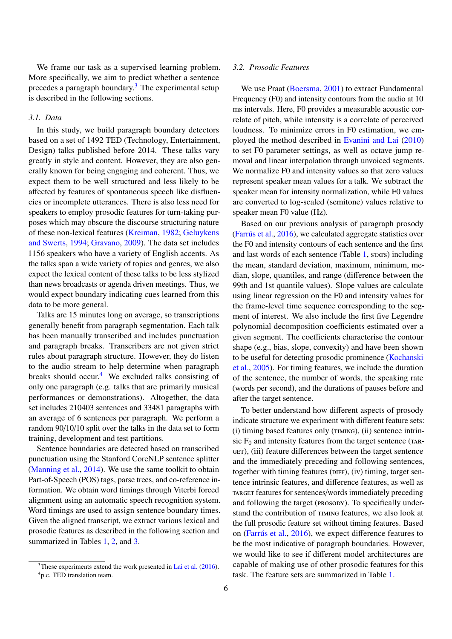We frame our task as a supervised learning problem. More specifically, we aim to predict whether a sentence precedes a paragraph boundary.<sup>[3](#page-6-0)</sup> The experimental setup is described in the following sections.

#### <span id="page-6-2"></span>*3.1. Data*

In this study, we build paragraph boundary detectors based on a set of 1492 TED (Technology, Entertainment, Design) talks published before 2014. These talks vary greatly in style and content. However, they are also generally known for being engaging and coherent. Thus, we expect them to be well structured and less likely to be affected by features of spontaneous speech like disfluencies or incomplete utterances. There is also less need for speakers to employ prosodic features for turn-taking purposes which may obscure the discourse structuring nature of these non-lexical features [\(Kreiman,](#page-19-8) [1982;](#page-19-8) [Geluykens](#page-19-9) [and Swerts,](#page-19-9) [1994;](#page-19-9) [Gravano,](#page-19-20) [2009\)](#page-19-20). The data set includes 1156 speakers who have a variety of English accents. As the talks span a wide variety of topics and genres, we also expect the lexical content of these talks to be less stylized than news broadcasts or agenda driven meetings. Thus, we would expect boundary indicating cues learned from this data to be more general.

Talks are 15 minutes long on average, so transcriptions generally benefit from paragraph segmentation. Each talk has been manually transcribed and includes punctuation and paragraph breaks. Transcribers are not given strict rules about paragraph structure. However, they do listen to the audio stream to help determine when paragraph breaks should occur. $4$  We excluded talks consisting of only one paragraph (e.g. talks that are primarily musical performances or demonstrations). Altogether, the data set includes 210403 sentences and 33481 paragraphs with an average of 6 sentences per paragraph. We perform a random 90/10/10 split over the talks in the data set to form training, development and test partitions.

Sentence boundaries are detected based on transcribed punctuation using the Stanford CoreNLP sentence splitter [\(Manning et al.,](#page-19-21) [2014\)](#page-19-21). We use the same toolkit to obtain Part-of-Speech (POS) tags, parse trees, and co-reference information. We obtain word timings through Viterbi forced alignment using an automatic speech recognition system. Word timings are used to assign sentence boundary times. Given the aligned transcript, we extract various lexical and prosodic features as described in the following section and summarized in Tables [1,](#page-7-0) [2,](#page-7-1) and [3.](#page-8-0)

#### *3.2. Prosodic Features*

We use Praat [\(Boersma,](#page-18-10) [2001\)](#page-18-10) to extract Fundamental Frequency (F0) and intensity contours from the audio at 10 ms intervals. Here, F0 provides a measurable acoustic correlate of pitch, while intensity is a correlate of perceived loudness. To minimize errors in F0 estimation, we employed the method described in [Evanini and Lai](#page-18-11) [\(2010\)](#page-18-11) to set F0 parameter settings, as well as octave jump removal and linear interpolation through unvoiced segments. We normalize F0 and intensity values so that zero values represent speaker mean values for a talk. We subtract the speaker mean for intensity normalization, while F0 values are converted to log-scaled (semitone) values relative to speaker mean F0 value (Hz).

Based on our previous analysis of paragraph prosody [\(Farrús et al.,](#page-18-1) [2016\)](#page-18-1), we calculated aggregate statistics over the F0 and intensity contours of each sentence and the first and last words of each sentence (Table [1,](#page-7-0) states) including the mean, standard deviation, maximum, minimum, median, slope, quantiles, and range (difference between the 99th and 1st quantile values). Slope values are calculate using linear regression on the F0 and intensity values for the frame-level time sequence corresponding to the segment of interest. We also include the first five Legendre polynomial decomposition coefficients estimated over a given segment. The coefficients characterise the contour shape (e.g., bias, slope, convexity) and have been shown to be useful for detecting prosodic prominence [\(Kochanski](#page-19-22) [et al.,](#page-19-22) [2005\)](#page-19-22). For timing features, we include the duration of the sentence, the number of words, the speaking rate (words per second), and the durations of pauses before and after the target sentence.

To better understand how different aspects of prosody indicate structure we experiment with different feature sets: (i) timing based features only (TIMING), (ii) sentence intrinsic  $F_0$  and intensity features from the target sentence (TAR-GET), (iii) feature differences between the target sentence and the immediately preceding and following sentences, together with timing features ( $\rho$ IFF), (iv) timing, target sentence intrinsic features, and difference features, as well as TARGET features for sentences/words immediately preceding and following the target (prosopy). To specifically understand the contribution of  $T_{MING}$  features, we also look at the full prosodic feature set without timing features. Based on [\(Farrús et al.,](#page-18-1) [2016\)](#page-18-1), we expect difference features to be the most indicative of paragraph boundaries. However, we would like to see if different model architectures are capable of making use of other prosodic features for this task. The feature sets are summarized in Table [1.](#page-7-0)

<span id="page-6-1"></span><span id="page-6-0"></span> $3$ These experiments extend the work presented in [Lai et al.](#page-19-5) [\(2016\)](#page-19-5). <sup>4</sup>p.c. TED translation team.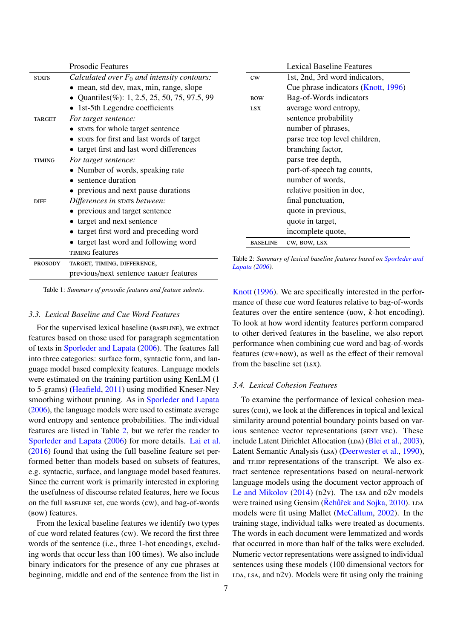|                | <b>Prosodic Features</b>                      |                 | <b>Lexical Baseline Features</b>                                     |
|----------------|-----------------------------------------------|-----------------|----------------------------------------------------------------------|
| <b>STATS</b>   | Calculated over $F_0$ and intensity contours: | CW              | 1st, 2nd, 3rd word indicators,                                       |
|                | • mean, std dev, max, min, range, slope       |                 | Cue phrase indicators (Knott, 1996)                                  |
|                | • Quantiles (%): 1, 2.5, 25, 50, 75, 97.5, 99 | <b>BOW</b>      | Bag-of-Words indicators                                              |
|                | • 1st-5th Legendre coefficients               | <b>LSX</b>      | average word entropy,                                                |
| <b>TARGET</b>  | For target sentence:                          |                 | sentence probability                                                 |
|                | • STATS for whole target sentence             |                 | number of phrases,                                                   |
|                | • stars for first and last words of target    |                 | parse tree top level children,                                       |
|                | • target first and last word differences      |                 | branching factor,                                                    |
| <b>TIMING</b>  | For target sentence:                          |                 | parse tree depth,                                                    |
|                | • Number of words, speaking rate              |                 | part-of-speech tag counts,                                           |
|                | • sentence duration                           |                 | number of words,                                                     |
|                | • previous and next pause durations           |                 | relative position in doc,                                            |
| <b>DIFF</b>    | Differences in stats between:                 |                 | final punctuation,                                                   |
|                | • previous and target sentence                |                 | quote in previous,                                                   |
|                | • target and next sentence                    |                 | quote in target,                                                     |
|                | • target first word and preceding word        |                 | incomplete quote,                                                    |
|                | • target last word and following word         | <b>BASELINE</b> | CW, BOW, LSX                                                         |
|                | TIMING features                               |                 |                                                                      |
| <b>PROSODY</b> | TARGET, TIMING, DIFFERENCE,                   |                 | Table 2: Summary of lexical baseline features based on Sporleder and |

<span id="page-7-0"></span>previous/next sentence TARGET features

Table 1: *Summary of prosodic features and feature subsets.*

#### *3.3. Lexical Baseline and Cue Word Features*

For the supervised lexical baseline (BASELINE), we extract features based on those used for paragraph segmentation of texts in [Sporleder and Lapata](#page-20-2) [\(2006\)](#page-20-2). The features fall into three categories: surface form, syntactic form, and language model based complexity features. Language models were estimated on the training partition using KenLM (1 to 5-grams) [\(Heafield,](#page-19-23) [2011\)](#page-19-23) using modified Kneser-Ney smoothing without pruning. As in [Sporleder and Lapata](#page-20-2) [\(2006\)](#page-20-2), the language models were used to estimate average word entropy and sentence probabilities. The individual features are listed in Table [2,](#page-7-1) but we refer the reader to [Sporleder and Lapata](#page-20-2) [\(2006\)](#page-20-2) for more details. [Lai et al.](#page-19-5) [\(2016\)](#page-19-5) found that using the full baseline feature set performed better than models based on subsets of features, e.g. syntactic, surface, and language model based features. Since the current work is primarily interested in exploring the usefulness of discourse related features, here we focus on the full baseline set, cue words (cw), and bag-of-words (bow) features.

From the lexical baseline features we identify two types of cue word related features (cw). We record the first three words of the sentence (i.e., three 1-hot encodings, excluding words that occur less than 100 times). We also include binary indicators for the presence of any cue phrases at beginning, middle and end of the sentence from the list in

<span id="page-7-1"></span>*[Lapata](#page-20-2) [\(2006\)](#page-20-2).*

[Knott](#page-19-24) [\(1996\)](#page-19-24). We are specifically interested in the performance of these cue word features relative to bag-of-words features over the entire sentence (bow, *k*-hot encoding). To look at how word identity features perform compared to other derived features in the baseline, we also report performance when combining cue word and bag-of-words features (cw+bow), as well as the effect of their removal from the baseline set  $(Lsx)$ .

# *3.4. Lexical Cohesion Features*

To examine the performance of lexical cohesion measures (COH), we look at the differences in topical and lexical similarity around potential boundary points based on various sentence vector representations (SENT VEC). These include Latent Dirichlet Allocation (LDA) [\(Blei et al.,](#page-18-12) [2003\)](#page-18-12), Latent Semantic Analysis (LSA) [\(Deerwester et al.,](#page-18-13) [1990\)](#page-18-13), and TF.IDF representations of the transcript. We also extract sentence representations based on neural-network language models using the document vector approach of [Le and Mikolov](#page-19-25)  $(2014)$  ( $p2v$ ). The LSA and  $p2v$  models were trained using Gensim (Rehurt and Sojka, [2010\)](#page-20-18). LDA models were fit using Mallet [\(McCallum,](#page-19-26) [2002\)](#page-19-26). In the training stage, individual talks were treated as documents. The words in each document were lemmatized and words that occurred in more than half of the talks were excluded. Numeric vector representations were assigned to individual sentences using these models (100 dimensional vectors for  $LDA$ , LSA, and  $D2v$ ). Models were fit using only the training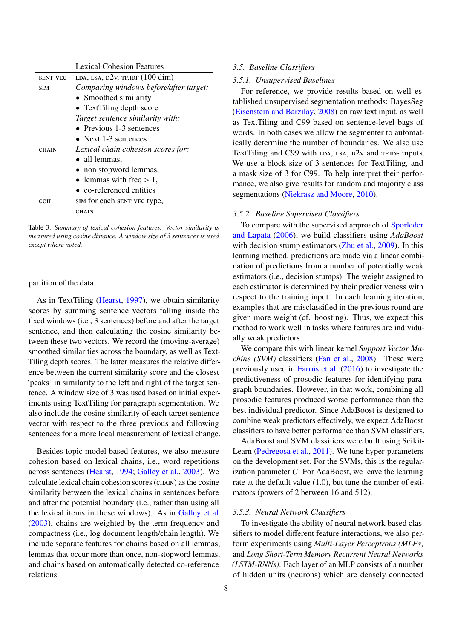|                 | Lexical Cohesion Features                    |  |  |  |
|-----------------|----------------------------------------------|--|--|--|
| <b>SENT VEC</b> | LDA, LSA, $D2v$ , TF.IDF $(100 \text{ dim})$ |  |  |  |
| <b>SIM</b>      | Comparing windows before/after target:       |  |  |  |
|                 | • Smoothed similarity                        |  |  |  |
|                 | • Text Tiling depth score                    |  |  |  |
|                 | Target sentence similarity with:             |  |  |  |
|                 | • Previous $1-3$ sentences                   |  |  |  |
|                 | • Next 1-3 sentences                         |  |  |  |
| <b>CHAIN</b>    | Lexical chain cohesion scores for:           |  |  |  |
|                 | • all lemmas,                                |  |  |  |
|                 | • non stopword lemmas,                       |  |  |  |
|                 | • lemmas with freq $> 1$ ,                   |  |  |  |
|                 | $\bullet$ co-referenced entities             |  |  |  |
| сон             | SIM for each SENT VEC type,                  |  |  |  |
|                 | CHAIN                                        |  |  |  |

<span id="page-8-0"></span>Table 3: *Summary of lexical cohesion features. Vector similarity is measured using cosine distance. A window size of 3 sentences is used except where noted.*

#### partition of the data.

As in TextTiling [\(Hearst,](#page-19-27) [1997\)](#page-19-27), we obtain similarity scores by summing sentence vectors falling inside the fixed windows (i.e., 3 sentences) before and after the target sentence, and then calculating the cosine similarity between these two vectors. We record the (moving-average) smoothed similarities across the boundary, as well as Text-Tiling depth scores. The latter measures the relative difference between the current similarity score and the closest 'peaks' in similarity to the left and right of the target sentence. A window size of 3 was used based on initial experiments using TextTiling for paragraph segmentation. We also include the cosine similarity of each target sentence vector with respect to the three previous and following sentences for a more local measurement of lexical change.

Besides topic model based features, we also measure cohesion based on lexical chains, i.e., word repetitions across sentences [\(Hearst,](#page-19-6) [1994;](#page-19-6) [Galley et al.,](#page-18-7) [2003\)](#page-18-7). We calculate lexical chain cohesion scores (chain) as the cosine similarity between the lexical chains in sentences before and after the potential boundary (i.e., rather than using all the lexical items in those windows). As in [Galley et al.](#page-18-7) [\(2003\)](#page-18-7), chains are weighted by the term frequency and compactness (i.e., log document length/chain length). We include separate features for chains based on all lemmas, lemmas that occur more than once, non-stopword lemmas, and chains based on automatically detected co-reference relations.

#### *3.5. Baseline Classifiers*

#### *3.5.1. Unsupervised Baselines*

For reference, we provide results based on well established unsupervised segmentation methods: BayesSeg [\(Eisenstein and Barzilay,](#page-18-0) [2008\)](#page-18-0) on raw text input, as well as TextTiling and C99 based on sentence-level bags of words. In both cases we allow the segmenter to automatically determine the number of boundaries. We also use TextTiling and C99 with  $LDA$ ,  $LSA$ ,  $D2v$  and  $TFIDF$  inputs. We use a block size of 3 sentences for TextTiling, and a mask size of 3 for C99. To help interpret their performance, we also give results for random and majority class segmentations [\(Niekrasz and Moore,](#page-20-19) [2010\)](#page-20-19).

#### *3.5.2. Baseline Supervised Classifiers*

To compare with the supervised approach of [Sporleder](#page-20-2) [and Lapata](#page-20-2) [\(2006\)](#page-20-2), we build classifiers using *AdaBoost* with decision stump estimators [\(Zhu et al.,](#page-21-6) [2009\)](#page-21-6). In this learning method, predictions are made via a linear combination of predictions from a number of potentially weak estimators (i.e., decision stumps). The weight assigned to each estimator is determined by their predictiveness with respect to the training input. In each learning iteration, examples that are misclassified in the previous round are given more weight (cf. boosting). Thus, we expect this method to work well in tasks where features are individually weak predictors.

We compare this with linear kernel *Support Vector Machine (SVM)* classifiers [\(Fan et al.,](#page-18-14) [2008\)](#page-18-14). These were previously used in [Farrús et al.](#page-18-1) [\(2016\)](#page-18-1) to investigate the predictiveness of prosodic features for identifying paragraph boundaries. However, in that work, combining all prosodic features produced worse performance than the best individual predictor. Since AdaBoost is designed to combine weak predictors effectively, we expect AdaBoost classifiers to have better performance than SVM classifiers.

AdaBoost and SVM classifiers were built using Scikit-Learn [\(Pedregosa et al.,](#page-20-20) [2011\)](#page-20-20). We tune hyper-parameters on the development set. For the SVMs, this is the regularization parameter *C*. For AdaBoost, we leave the learning rate at the default value (1.0), but tune the number of estimators (powers of 2 between 16 and 512).

#### *3.5.3. Neural Network Classifiers*

To investigate the ability of neural network based classifiers to model different feature interactions, we also perform experiments using *Multi-Layer Perceptrons (MLPs)* and *Long Short-Term Memory Recurrent Neural Networks (LSTM-RNNs)*. Each layer of an MLP consists of a number of hidden units (neurons) which are densely connected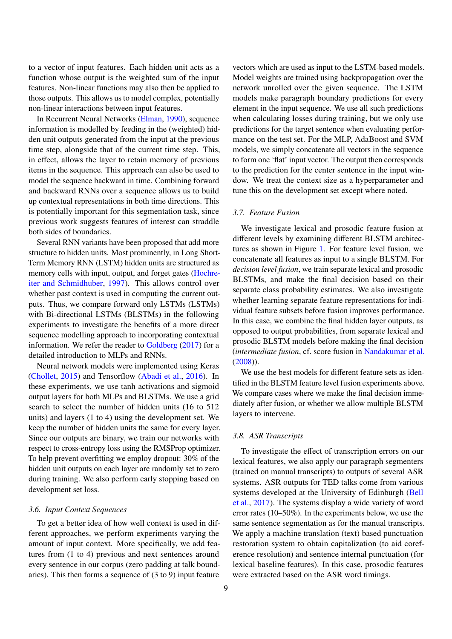to a vector of input features. Each hidden unit acts as a function whose output is the weighted sum of the input features. Non-linear functions may also then be applied to those outputs. This allows us to model complex, potentially non-linear interactions between input features.

In Recurrent Neural Networks [\(Elman,](#page-18-15) [1990\)](#page-18-15), sequence information is modelled by feeding in the (weighted) hidden unit outputs generated from the input at the previous time step, alongside that of the current time step. This, in effect, allows the layer to retain memory of previous items in the sequence. This approach can also be used to model the sequence backward in time. Combining forward and backward RNNs over a sequence allows us to build up contextual representations in both time directions. This is potentially important for this segmentation task, since previous work suggests features of interest can straddle both sides of boundaries.

Several RNN variants have been proposed that add more structure to hidden units. Most prominently, in Long Short-Term Memory RNN (LSTM) hidden units are structured as memory cells with input, output, and forget gates [\(Hochre](#page-19-28)[iter and Schmidhuber,](#page-19-28) [1997\)](#page-19-28). This allows control over whether past context is used in computing the current outputs. Thus, we compare forward only LSTMs (LSTMs) with Bi-directional LSTMs (BLSTMs) in the following experiments to investigate the benefits of a more direct sequence modelling approach to incorporating contextual information. We refer the reader to [Goldberg](#page-19-29) [\(2017\)](#page-19-29) for a detailed introduction to MLPs and RNNs.

Neural network models were implemented using Keras [\(Chollet,](#page-18-16) [2015\)](#page-18-16) and Tensorflow [\(Abadi et al.,](#page-18-17) [2016\)](#page-18-17). In these experiments, we use tanh activations and sigmoid output layers for both MLPs and BLSTMs. We use a grid search to select the number of hidden units (16 to 512 units) and layers (1 to 4) using the development set. We keep the number of hidden units the same for every layer. Since our outputs are binary, we train our networks with respect to cross-entropy loss using the RMSProp optimizer. To help prevent overfitting we employ dropout: 30% of the hidden unit outputs on each layer are randomly set to zero during training. We also perform early stopping based on development set loss.

#### <span id="page-9-0"></span>*3.6. Input Context Sequences*

To get a better idea of how well context is used in different approaches, we perform experiments varying the amount of input context. More specifically, we add features from (1 to 4) previous and next sentences around every sentence in our corpus (zero padding at talk boundaries). This then forms a sequence of (3 to 9) input feature

vectors which are used as input to the LSTM-based models. Model weights are trained using backpropagation over the network unrolled over the given sequence. The LSTM models make paragraph boundary predictions for every element in the input sequence. We use all such predictions when calculating losses during training, but we only use predictions for the target sentence when evaluating performance on the test set. For the MLP, AdaBoost and SVM models, we simply concatenate all vectors in the sequence to form one 'flat' input vector. The output then corresponds to the prediction for the center sentence in the input window. We treat the context size as a hyperparameter and tune this on the development set except where noted.

# *3.7. Feature Fusion*

We investigate lexical and prosodic feature fusion at different levels by examining different BLSTM architectures as shown in Figure [1.](#page-10-1) For feature level fusion, we concatenate all features as input to a single BLSTM. For *decision level fusion*, we train separate lexical and prosodic BLSTMs, and make the final decision based on their separate class probability estimates. We also investigate whether learning separate feature representations for individual feature subsets before fusion improves performance. In this case, we combine the final hidden layer outputs, as opposed to output probabilities, from separate lexical and prosodic BLSTM models before making the final decision (*intermediate fusion*, cf. score fusion in [Nandakumar et al.](#page-20-21) [\(2008\)](#page-20-21)).

We use the best models for different feature sets as identified in the BLSTM feature level fusion experiments above. We compare cases where we make the final decision immediately after fusion, or whether we allow multiple BLSTM layers to intervene.

#### *3.8. ASR Transcripts*

To investigate the effect of transcription errors on our lexical features, we also apply our paragraph segmenters (trained on manual transcripts) to outputs of several ASR systems. ASR outputs for TED talks come from various systems developed at the University of Edinburgh [\(Bell](#page-18-18) [et al.,](#page-18-18) [2017\)](#page-18-18). The systems display a wide variety of word error rates (10–50%). In the experiments below, we use the same sentence segmentation as for the manual transcripts. We apply a machine translation (text) based punctuation restoration system to obtain capitalization (to aid coreference resolution) and sentence internal punctuation (for lexical baseline features). In this case, prosodic features were extracted based on the ASR word timings.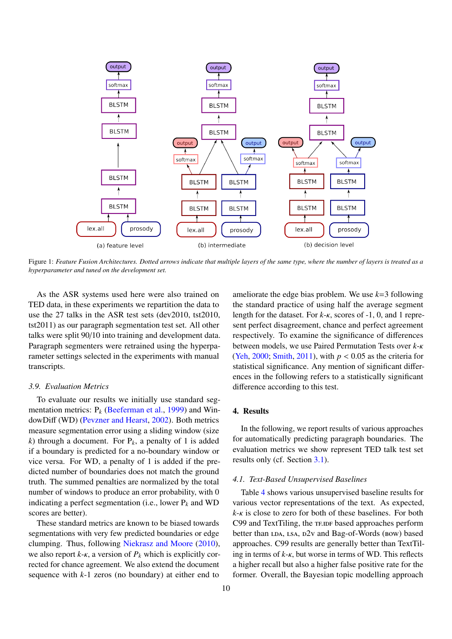

<span id="page-10-1"></span>Figure 1: *Feature Fusion Architectures. Dotted arrows indicate that multiple layers of the same type, where the number of layers is treated as a hyperparameter and tuned on the development set.*

As the ASR systems used here were also trained on TED data, in these experiments we repartition the data to use the 27 talks in the ASR test sets (dev2010, tst2010, tst2011) as our paragraph segmentation test set. All other talks were split 90/10 into training and development data. Paragraph segmenters were retrained using the hyperparameter settings selected in the experiments with manual transcripts.

#### *3.9. Evaluation Metrics*

To evaluate our results we initially use standard segmentation metrics:  $P_k$  [\(Beeferman et al.,](#page-18-19) [1999\)](#page-18-19) and WindowDiff (WD) [\(Pevzner and Hearst,](#page-20-22) [2002\)](#page-20-22). Both metrics measure segmentation error using a sliding window (size *k*) through a document. For  $P_k$ , a penalty of 1 is added if a boundary is predicted for a no-boundary window or vice versa. For WD, a penalty of 1 is added if the predicted number of boundaries does not match the ground truth. The summed penalties are normalized by the total number of windows to produce an error probability, with 0 indicating a perfect segmentation (i.e., lower  $P_k$  and WD scores are better).

These standard metrics are known to be biased towards segmentations with very few predicted boundaries or edge clumping. Thus, following [Niekrasz and Moore](#page-20-19) [\(2010\)](#page-20-19), we also report  $k-\kappa$ , a version of  $P_k$  which is explicitly corrected for chance agreement. We also extend the document sequence with *k*-1 zeros (no boundary) at either end to

ameliorate the edge bias problem. We use *k*=3 following the standard practice of using half the average segment length for the dataset. For *<sup>k</sup>*-κ, scores of -1, 0, and 1 represent perfect disagreement, chance and perfect agreement respectively. To examine the significance of differences between models, we use Paired Permutation Tests over *<sup>k</sup>*-κ [\(Yeh,](#page-21-7) [2000;](#page-21-7) [Smith,](#page-20-23) [2011\)](#page-20-23), with *<sup>p</sup>* < <sup>0</sup>.<sup>05</sup> as the criteria for statistical significance. Any mention of significant differences in the following refers to a statistically significant difference according to this test.

#### <span id="page-10-0"></span>4. Results

In the following, we report results of various approaches for automatically predicting paragraph boundaries. The evaluation metrics we show represent TED talk test set results only (cf. Section [3.1\)](#page-6-2).

#### *4.1. Text-Based Unsupervised Baselines*

Table [4](#page-11-0) shows various unsupervised baseline results for various vector representations of the text. As expected, *<sup>k</sup>*-κ is close to zero for both of these baselines. For both C99 and TextTiling, the TF.IDF based approaches perform better than  $LDA$ ,  $LSA$ ,  $D2v$  and Bag-of-Words (bow) based approaches. C99 results are generally better than TextTiling in terms of *<sup>k</sup>*-κ, but worse in terms of WD. This reflects a higher recall but also a higher false positive rate for the former. Overall, the Bayesian topic modelling approach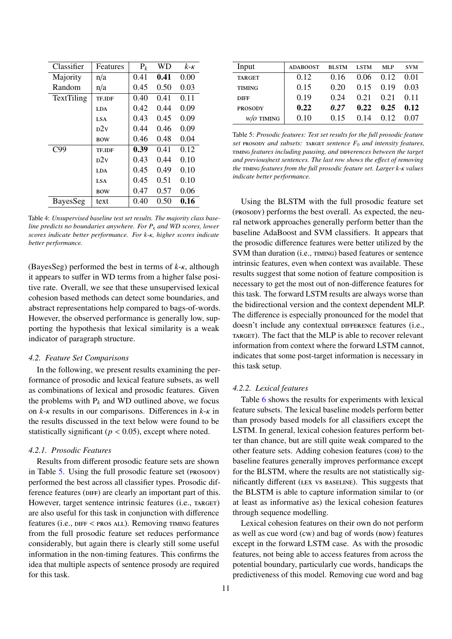| Classifier | Features      | $P_k$ | <b>WD</b> | $k - \kappa$ |
|------------|---------------|-------|-----------|--------------|
| Majority   | n/a           | 0.41  | 0.41      | 0.00         |
| Random     | n/a           | 0.45  | 0.50      | 0.03         |
| TextTiling | TE.IDF        | 0.40  | 0.41      | 0.11         |
|            | <b>LDA</b>    | 0.42  | 0.44      | 0.09         |
|            | <b>LSA</b>    | 0.43  | 0.45      | 0.09         |
|            | p2v           | 0.44  | 0.46      | 0.09         |
|            | <b>BOW</b>    | 0.46  | 0.48      | 0.04         |
| C99        | <b>TE.IDF</b> | 0.39  | 0.41      | 0.12         |
|            | p2v           | 0.43  | 0.44      | 0.10         |
|            | <b>LDA</b>    | 0.45  | 0.49      | 0.10         |
|            | <b>LSA</b>    | 0.45  | 0.51      | 0.10         |
|            | <b>BOW</b>    | 0.47  | 0.57      | 0.06         |
| BayesSeg   | text          | 0.40  | 0.50      | 0.16         |

<span id="page-11-0"></span>Table 4: *Unsupervised baseline test set results. The majority class baseline predicts no boundaries anywhere. For P<sup>k</sup> and WD scores, lower scores indicate better performance. For k-*κ*, higher scores indicate better performance.*

(BayesSeg) performed the best in terms of *<sup>k</sup>*-κ, although it appears to suffer in WD terms from a higher false positive rate. Overall, we see that these unsupervised lexical cohesion based methods can detect some boundaries, and abstract representations help compared to bags-of-words. However, the observed performance is generally low, supporting the hypothesis that lexical similarity is a weak indicator of paragraph structure.

#### *4.2. Feature Set Comparisons*

In the following, we present results examining the performance of prosodic and lexical feature subsets, as well as combinations of lexical and prosodic features. Given the problems with  $P_k$  and WD outlined above, we focus on *<sup>k</sup>*-κ results in our comparisons. Differences in *<sup>k</sup>*-κ in the results discussed in the text below were found to be statistically significant ( $p < 0.05$ ), except where noted.

# *4.2.1. Prosodic Features*

Results from different prosodic feature sets are shown in Table [5.](#page-11-1) Using the full prosodic feature set (prosony) performed the best across all classifier types. Prosodic difference features (DIFF) are clearly an important part of this. However, target sentence intrinsic features (i.e., TARGET) are also useful for this task in conjunction with difference features (i.e., DIFF < PROS ALL). Removing TIMING features from the full prosodic feature set reduces performance considerably, but again there is clearly still some useful information in the non-timing features. This confirms the idea that multiple aspects of sentence prosody are required for this task.

| Input                 | <b>ADABOOST</b> | <b>BLSTM</b> | <b>LSTM</b> | MLP  | <b>SVM</b> |
|-----------------------|-----------------|--------------|-------------|------|------------|
| <b>TARGET</b>         | 0.12            | 0.16         | 0.06        | 0.12 | 0.01       |
| <b>TIMING</b>         | 0.15            | 0.20         | 0.15        | 0.19 | 0.03       |
| <b>DIFF</b>           | 0.19            | 0.24         | 0.21        | 0.21 | 0.11       |
| <b>PROSODY</b>        | 0.22            | 0.27         | 0.22        | 0.25 | 0.12       |
| $w$ / <i>O</i> TIMING | 0.10            | 015          | 0.14        | 012  | 0.07       |

<span id="page-11-1"></span>Table 5: *Prosodic features: Test set results for the full prosodic feature set* prosody *and subsets:* target *sentence F*<sup>0</sup> *and intensity features,* timing *features including pausing, and* diff*erences between the target and previous*/*next sentences. The last row shows the e*ff*ect of removing the* timing *features from the full prosodic feature set. Larger k-*κ *values indicate better performance.*

Using the BLSTM with the full prosodic feature set (prosody) performs the best overall. As expected, the neural network approaches generally perform better than the baseline AdaBoost and SVM classifiers. It appears that the prosodic difference features were better utilized by the SVM than duration (i.e., TIMING) based features or sentence intrinsic features, even when context was available. These results suggest that some notion of feature composition is necessary to get the most out of non-difference features for this task. The forward LSTM results are always worse than the bidirectional version and the context dependent MLP. The difference is especially pronounced for the model that doesn't include any contextual DIFFERENCE features (i.e., TARGET). The fact that the MLP is able to recover relevant information from context where the forward LSTM cannot, indicates that some post-target information is necessary in this task setup.

# *4.2.2. Lexical features*

Table [6](#page-13-0) shows the results for experiments with lexical feature subsets. The lexical baseline models perform better than prosody based models for all classifiers except the LSTM. In general, lexical cohesion features perform better than chance, but are still quite weak compared to the other feature sets. Adding cohesion features (coh) to the baseline features generally improves performance except for the BLSTM, where the results are not statistically significantly different (lex vs baseline). This suggests that the BLSTM is able to capture information similar to (or at least as informative as) the lexical cohesion features through sequence modelling.

Lexical cohesion features on their own do not perform as well as cue word (cw) and bag of words (bow) features except in the forward LSTM case. As with the prosodic features, not being able to access features from across the potential boundary, particularly cue words, handicaps the predictiveness of this model. Removing cue word and bag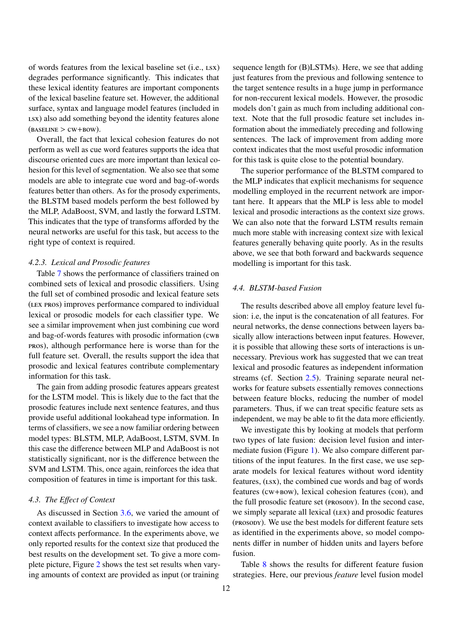of words features from the lexical baseline set (i.e., lsx) degrades performance significantly. This indicates that these lexical identity features are important components of the lexical baseline feature set. However, the additional surface, syntax and language model features (included in LSX) also add something beyond the identity features alone  $(BASELINE > CW+BOW).$ 

Overall, the fact that lexical cohesion features do not perform as well as cue word features supports the idea that discourse oriented cues are more important than lexical cohesion for this level of segmentation. We also see that some models are able to integrate cue word and bag-of-words features better than others. As for the prosody experiments, the BLSTM based models perform the best followed by the MLP, AdaBoost, SVM, and lastly the forward LSTM. This indicates that the type of transforms afforded by the neural networks are useful for this task, but access to the right type of context is required.

#### *4.2.3. Lexical and Prosodic features*

Table [7](#page-13-1) shows the performance of classifiers trained on combined sets of lexical and prosodic classifiers. Using the full set of combined prosodic and lexical feature sets (lex pros) improves performance compared to individual lexical or prosodic models for each classifier type. We see a similar improvement when just combining cue word and bag-of-words features with prosodic information (cwb pros), although performance here is worse than for the full feature set. Overall, the results support the idea that prosodic and lexical features contribute complementary information for this task.

The gain from adding prosodic features appears greatest for the LSTM model. This is likely due to the fact that the prosodic features include next sentence features, and thus provide useful additional lookahead type information. In terms of classifiers, we see a now familiar ordering between model types: BLSTM, MLP, AdaBoost, LSTM, SVM. In this case the difference between MLP and AdaBoost is not statistically significant, nor is the difference between the SVM and LSTM. This, once again, reinforces the idea that composition of features in time is important for this task.

#### *4.3. The E*ff*ect of Context*

As discussed in Section [3.6,](#page-9-0) we varied the amount of context available to classifiers to investigate how access to context affects performance. In the experiments above, we only reported results for the context size that produced the best results on the development set. To give a more complete picture, Figure [2](#page-13-2) shows the test set results when varying amounts of context are provided as input (or training

sequence length for (B)LSTMs). Here, we see that adding just features from the previous and following sentence to the target sentence results in a huge jump in performance for non-reccurent lexical models. However, the prosodic models don't gain as much from including additional context. Note that the full prosodic feature set includes information about the immediately preceding and following sentences. The lack of improvement from adding more context indicates that the most useful prosodic information for this task is quite close to the potential boundary.

The superior performance of the BLSTM compared to the MLP indicates that explicit mechanisms for sequence modelling employed in the recurrent network are important here. It appears that the MLP is less able to model lexical and prosodic interactions as the context size grows. We can also note that the forward LSTM results remain much more stable with increasing context size with lexical features generally behaving quite poorly. As in the results above, we see that both forward and backwards sequence modelling is important for this task.

# <span id="page-12-0"></span>*4.4. BLSTM-based Fusion*

The results described above all employ feature level fusion: i.e, the input is the concatenation of all features. For neural networks, the dense connections between layers basically allow interactions between input features. However, it is possible that allowing these sorts of interactions is unnecessary. Previous work has suggested that we can treat lexical and prosodic features as independent information streams (cf. Section [2.5\)](#page-5-1). Training separate neural networks for feature subsets essentially removes connections between feature blocks, reducing the number of model parameters. Thus, if we can treat specific feature sets as independent, we may be able to fit the data more efficiently.

We investigate this by looking at models that perform two types of late fusion: decision level fusion and intermediate fusion (Figure [1\)](#page-10-1). We also compare different partitions of the input features. In the first case, we use separate models for lexical features without word identity features, (lsx), the combined cue words and bag of words features (cw+bow), lexical cohesion features (coh), and the full prosodic feature set (prosody). In the second case, we simply separate all lexical (LEX) and prosodic features (prosody). We use the best models for different feature sets as identified in the experiments above, so model components differ in number of hidden units and layers before fusion.

Table [8](#page-14-1) shows the results for different feature fusion strategies. Here, our previous *feature* level fusion model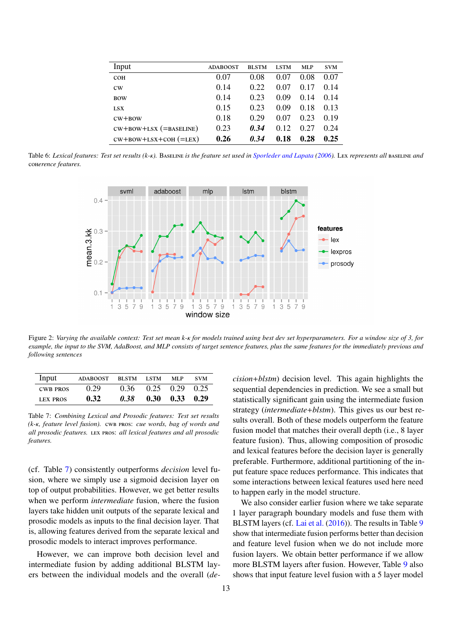| Input                    | <b>ADABOOST</b> | <b>BLSTM</b> | <b>LSTM</b> | MLP  | <b>SVM</b> |
|--------------------------|-----------------|--------------|-------------|------|------------|
| <b>COH</b>               | 0.07            | 0.08         | 0.07        | 0.08 | 0.07       |
| cw                       | 0.14            | 0.22         | 0.07        | 0.17 | 0.14       |
| <b>BOW</b>               | 0.14            | 0.23         | 0.09        | 0.14 | 0.14       |
| <b>LSX</b>               | 0.15            | 0.23         | 0.09        | 0.18 | 0.13       |
| $CW+BOW$                 | 0.18            | 0.29         | 0.07        | 0.23 | 0.19       |
| $CW+BOW+LSX$ (=BASELINE) | 0.23            | 0.34         | 0.12        | 0.27 | 0.24       |
| $cw+bow+LSX+COH$ (=LEX)  | 0.26            | 0.34         | 0.18        | 0.28 | 0.25       |

<span id="page-13-0"></span>Table 6: *Lexical features: Test set results (k-*κ*).* <sup>B</sup>aseline *is the feature set used in [Sporleder and Lapata](#page-20-2) [\(2006\)](#page-20-2).* <sup>L</sup>ex *represents all* baseline *and* coh*erence features.*



<span id="page-13-2"></span>Figure 2: *Varying the available context: Test set mean k-*κ *for models trained using best dev set hyperparameters. For a window size of 3, for example, the input to the SVM, AdaBoost, and MLP consists of target sentence features, plus the same features for the immediately previous and following sentences*

| Input           | <b>ADABOOST</b> | BLSTM LSTM |                             | MLP                          | <b>SVM</b> |
|-----------------|-----------------|------------|-----------------------------|------------------------------|------------|
| <b>CWB PROS</b> | 0.29            |            | $0.36$ $0.25$ $0.29$ $0.25$ |                              |            |
| <b>LEX PROS</b> | 0.32            | 0.38       |                             | $0.30 \quad 0.33 \quad 0.29$ |            |

<span id="page-13-1"></span>Table 7: *Combining Lexical and Prosodic features: Test set results (k-*κ*, feature level fusion).* cwb pros: *cue words, bag of words and all prosodic features.* lex pros: *all lexical features and all prosodic features.*

(cf. Table [7\)](#page-13-1) consistently outperforms *decision* level fusion, where we simply use a sigmoid decision layer on top of output probabilities. However, we get better results when we perform *intermediate* fusion, where the fusion layers take hidden unit outputs of the separate lexical and prosodic models as inputs to the final decision layer. That is, allowing features derived from the separate lexical and prosodic models to interact improves performance.

However, we can improve both decision level and intermediate fusion by adding additional BLSTM layers between the individual models and the overall (*de-*

preferable. Furthermore, additional partitioning of the input feature space reduces performance. This indicates that some interactions between lexical features used here need to happen early in the model structure. We also consider earlier fusion where we take separate 1 layer paragraph boundary models and fuse them with BLSTM layers (cf. [Lai et al.](#page-19-5) [\(2016\)](#page-19-5)). The results in Table [9](#page-14-2) show that intermediate fusion performs better than decision and feature level fusion when we do not include more

*cision*+*blstm*) decision level. This again highlights the sequential dependencies in prediction. We see a small but statistically significant gain using the intermediate fusion strategy (*intermediate*+*blstm*). This gives us our best results overall. Both of these models outperform the feature fusion model that matches their overall depth (i.e., 8 layer feature fusion). Thus, allowing composition of prosodic and lexical features before the decision layer is generally

fusion layers. We obtain better performance if we allow more BLSTM layers after fusion. However, Table [9](#page-14-2) also shows that input feature level fusion with a 5 layer model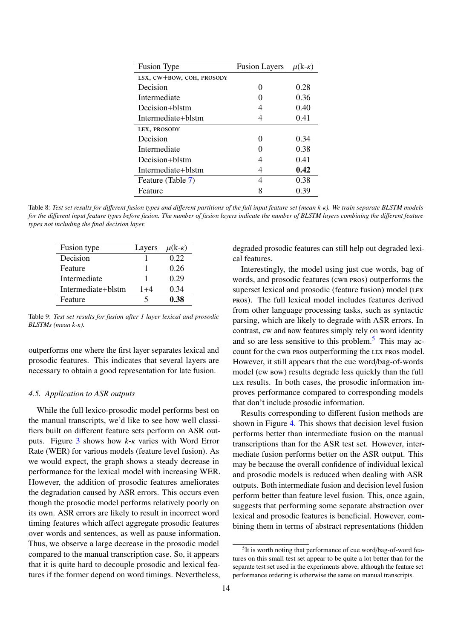| <b>Fusion Type</b>        | Fusion Layers $\mu(k-k)$ |      |
|---------------------------|--------------------------|------|
| LSX, CW+BOW, COH, PROSODY |                          |      |
| Decision                  | 0                        | 0.28 |
| Intermediate              |                          | 0.36 |
| Decision+blstm            | 4                        | 0.40 |
| Intermediate+blstm        |                          | 0.41 |
| LEX, PROSODY              |                          |      |
| Decision                  | 0                        | 0.34 |
| Intermediate              |                          | 0.38 |
| Decision+blstm            | 4                        | 0.41 |
| Intermediate+blstm        | 4                        | 0.42 |
| Feature (Table 7)         | 4                        | 0.38 |
| Feature                   |                          | 0.39 |

<span id="page-14-1"></span>Table 8: *Test set results for di*ff*erent fusion types and di*ff*erent partitions of the full input feature set (mean k-*κ*). We train separate BLSTM models for the di*ff*erent input feature types before fusion. The number of fusion layers indicate the number of BLSTM layers combining the di*ff*erent feature types not including the final decision layer.*

| Fusion type        | Layers  | $\mu$ (k- $\kappa$ ) |
|--------------------|---------|----------------------|
| Decision           |         | 0.22                 |
| Feature            |         | 0.26                 |
| Intermediate       |         | 0.29                 |
| Intermediate+blstm | $1 + 4$ | 0.34                 |
| Feature            | 5       | 0.38                 |

<span id="page-14-2"></span>Table 9: *Test set results for fusion after 1 layer lexical and prosodic BLSTMs (mean k-*κ*).*

outperforms one where the first layer separates lexical and prosodic features. This indicates that several layers are necessary to obtain a good representation for late fusion.

#### <span id="page-14-0"></span>*4.5. Application to ASR outputs*

While the full lexico-prosodic model performs best on the manual transcripts, we'd like to see how well classifiers built on different feature sets perform on ASR outputs. Figure [3](#page-15-0) shows how *<sup>k</sup>*-κ varies with Word Error Rate (WER) for various models (feature level fusion). As we would expect, the graph shows a steady decrease in performance for the lexical model with increasing WER. However, the addition of prosodic features ameliorates the degradation caused by ASR errors. This occurs even though the prosodic model performs relatively poorly on its own. ASR errors are likely to result in incorrect word timing features which affect aggregate prosodic features over words and sentences, as well as pause information. Thus, we observe a large decrease in the prosodic model compared to the manual transcription case. So, it appears that it is quite hard to decouple prosodic and lexical features if the former depend on word timings. Nevertheless,

degraded prosodic features can still help out degraded lexical features.

Interestingly, the model using just cue words, bag of words, and prosodic features (cwb pros) outperforms the superset lexical and prosodic (feature fusion) model (LEX pros). The full lexical model includes features derived from other language processing tasks, such as syntactic parsing, which are likely to degrade with ASR errors. In contrast, cw and bow features simply rely on word identity and so are less sensitive to this problem.<sup>[5](#page-14-3)</sup> This may account for the cwb pros outperforming the LEX pros model. However, it still appears that the cue word/bag-of-words model (cw bow) results degrade less quickly than the full lex results. In both cases, the prosodic information improves performance compared to corresponding models that don't include prosodic information.

Results corresponding to different fusion methods are shown in Figure [4.](#page-15-1) This shows that decision level fusion performs better than intermediate fusion on the manual transcriptions than for the ASR test set. However, intermediate fusion performs better on the ASR output. This may be because the overall confidence of individual lexical and prosodic models is reduced when dealing with ASR outputs. Both intermediate fusion and decision level fusion perform better than feature level fusion. This, once again, suggests that performing some separate abstraction over lexical and prosodic features is beneficial. However, combining them in terms of abstract representations (hidden

<span id="page-14-3"></span><sup>5</sup> It is worth noting that performance of cue word/bag-of-word features on this small test set appear to be quite a lot better than for the separate test set used in the experiments above, although the feature set performance ordering is otherwise the same on manual transcripts.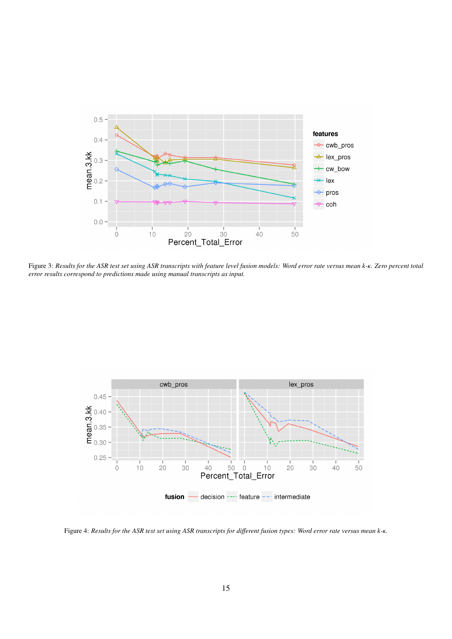

<span id="page-15-0"></span>Figure 3: *Results for the ASR test set using ASR transcripts with feature level fusion models: Word error rate versus mean k-*κ*. Zero percent total error results correspond to predictions made using manual transcripts as input.*



<span id="page-15-1"></span>Figure 4: *Results for the ASR test set using ASR transcripts for di*ff*erent fusion types: Word error rate versus mean k-*κ*.*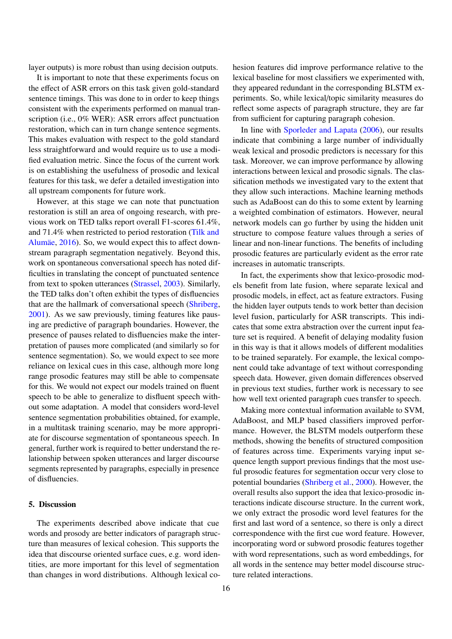layer outputs) is more robust than using decision outputs.

It is important to note that these experiments focus on the effect of ASR errors on this task given gold-standard sentence timings. This was done to in order to keep things consistent with the experiments performed on manual transcription (i.e., 0% WER): ASR errors affect punctuation restoration, which can in turn change sentence segments. This makes evaluation with respect to the gold standard less straightforward and would require us to use a modified evaluation metric. Since the focus of the current work is on establishing the usefulness of prosodic and lexical features for this task, we defer a detailed investigation into all upstream components for future work.

However, at this stage we can note that punctuation restoration is still an area of ongoing research, with previous work on TED talks report overall F1-scores 61.4%, and 71.4% when restricted to period restoration [\(Tilk and](#page-20-17) [Alumäe,](#page-20-17) [2016\)](#page-20-17). So, we would expect this to affect downstream paragraph segmentation negatively. Beyond this, work on spontaneous conversational speech has noted difficulties in translating the concept of punctuated sentence from text to spoken utterances [\(Strassel,](#page-20-24) [2003\)](#page-20-24). Similarly, the TED talks don't often exhibit the types of disfluencies that are the hallmark of conversational speech [\(Shriberg,](#page-20-25) [2001\)](#page-20-25). As we saw previously, timing features like pausing are predictive of paragraph boundaries. However, the presence of pauses related to disfluencies make the interpretation of pauses more complicated (and similarly so for sentence segmentation). So, we would expect to see more reliance on lexical cues in this case, although more long range prosodic features may still be able to compensate for this. We would not expect our models trained on fluent speech to be able to generalize to disfluent speech without some adaptation. A model that considers word-level sentence segmentation probabilities obtained, for example, in a multitask training scenario, may be more appropriate for discourse segmentation of spontaneous speech. In general, further work is required to better understand the relationship between spoken utterances and larger discourse segments represented by paragraphs, especially in presence of disfluencies.

#### <span id="page-16-0"></span>5. Discussion

The experiments described above indicate that cue words and prosody are better indicators of paragraph structure than measures of lexical cohesion. This supports the idea that discourse oriented surface cues, e.g. word identities, are more important for this level of segmentation than changes in word distributions. Although lexical cohesion features did improve performance relative to the lexical baseline for most classifiers we experimented with, they appeared redundant in the corresponding BLSTM experiments. So, while lexical/topic similarity measures do reflect some aspects of paragraph structure, they are far from sufficient for capturing paragraph cohesion.

In line with [Sporleder and Lapata](#page-20-2) [\(2006\)](#page-20-2), our results indicate that combining a large number of individually weak lexical and prosodic predictors is necessary for this task. Moreover, we can improve performance by allowing interactions between lexical and prosodic signals. The classification methods we investigated vary to the extent that they allow such interactions. Machine learning methods such as AdaBoost can do this to some extent by learning a weighted combination of estimators. However, neural network models can go further by using the hidden unit structure to compose feature values through a series of linear and non-linear functions. The benefits of including prosodic features are particularly evident as the error rate increases in automatic transcripts.

In fact, the experiments show that lexico-prosodic models benefit from late fusion, where separate lexical and prosodic models, in effect, act as feature extractors. Fusing the hidden layer outputs tends to work better than decision level fusion, particularly for ASR transcripts. This indicates that some extra abstraction over the current input feature set is required. A benefit of delaying modality fusion in this way is that it allows models of different modalities to be trained separately. For example, the lexical component could take advantage of text without corresponding speech data. However, given domain differences observed in previous text studies, further work is necessary to see how well text oriented paragraph cues transfer to speech.

Making more contextual information available to SVM, AdaBoost, and MLP based classifiers improved performance. However, the BLSTM models outperform these methods, showing the benefits of structured composition of features across time. Experiments varying input sequence length support previous findings that the most useful prosodic features for segmentation occur very close to potential boundaries [\(Shriberg et al.,](#page-20-13) [2000\)](#page-20-13). However, the overall results also support the idea that lexico-prosodic interactions indicate discourse structure. In the current work, we only extract the prosodic word level features for the first and last word of a sentence, so there is only a direct correspondence with the first cue word feature. However, incorporating word or subword prosodic features together with word representations, such as word embeddings, for all words in the sentence may better model discourse structure related interactions.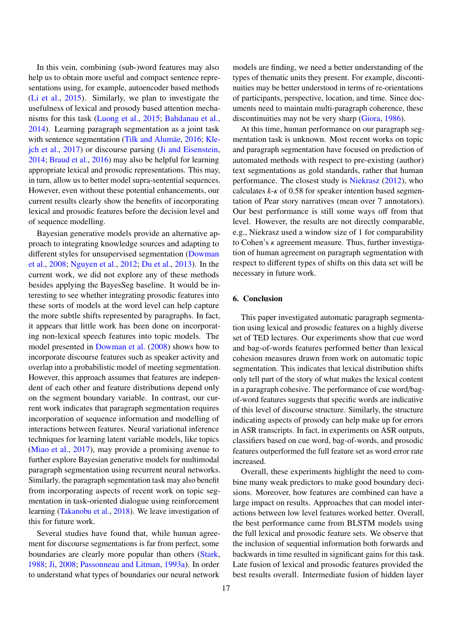In this vein, combining (sub-)word features may also help us to obtain more useful and compact sentence representations using, for example, autoencoder based methods [\(Li et al.,](#page-19-30) [2015\)](#page-19-30). Similarly, we plan to investigate the usefulness of lexical and prosody based attention mechanisms for this task [\(Luong et al.,](#page-19-31) [2015;](#page-19-31) [Bahdanau et al.,](#page-18-20) [2014\)](#page-18-20). Learning paragraph segmentation as a joint task with sentence segmentation [\(Tilk and Alumäe,](#page-20-17) [2016;](#page-20-17) [Kle](#page-19-19)[jch et al.,](#page-19-19) [2017\)](#page-19-19) or discourse parsing [\(Ji and Eisenstein,](#page-19-32) [2014;](#page-19-32) [Braud et al.,](#page-18-21) [2016\)](#page-18-21) may also be helpful for learning appropriate lexical and prosodic representations. This may, in turn, allow us to better model supra-sentential sequences. However, even without these potential enhancements, our current results clearly show the benefits of incorporating lexical and prosodic features before the decision level and of sequence modelling.

Bayesian generative models provide an alternative approach to integrating knowledge sources and adapting to different styles for unsupervised segmentation [\(Dowman](#page-18-9) [et al.,](#page-18-9) [2008;](#page-18-9) [Nguyen et al.,](#page-20-26) [2012;](#page-20-26) [Du et al.,](#page-18-22) [2013\)](#page-18-22). In the current work, we did not explore any of these methods besides applying the BayesSeg baseline. It would be interesting to see whether integrating prosodic features into these sorts of models at the word level can help capture the more subtle shifts represented by paragraphs. In fact, it appears that little work has been done on incorporating non-lexical speech features into topic models. The model presented in [Dowman et al.](#page-18-9) [\(2008\)](#page-18-9) shows how to incorporate discourse features such as speaker activity and overlap into a probabilistic model of meeting segmentation. However, this approach assumes that features are independent of each other and feature distributions depend only on the segment boundary variable. In contrast, our current work indicates that paragraph segmentation requires incorporation of sequence information and modelling of interactions between features. Neural variational inference techniques for learning latent variable models, like topics [\(Miao et al.,](#page-20-27) [2017\)](#page-20-27), may provide a promising avenue to further explore Bayesian generative models for multimodal paragraph segmentation using recurrent neural networks. Similarly, the paragraph segmentation task may also benefit from incorporating aspects of recent work on topic segmentation in task-oriented dialogue using reinforcement learning [\(Takanobu et al.,](#page-20-28) [2018\)](#page-20-28). We leave investigation of this for future work.

Several studies have found that, while human agreement for discourse segmentations is far from perfect, some boundaries are clearly more popular than others [\(Stark,](#page-20-29) [1988;](#page-20-29) [Ji,](#page-19-2) [2008;](#page-19-2) [Passonneau and Litman,](#page-20-30) [1993a\)](#page-20-30). In order to understand what types of boundaries our neural network

models are finding, we need a better understanding of the types of thematic units they present. For example, discontinuities may be better understood in terms of re-orientations of participants, perspective, location, and time. Since documents need to maintain multi-paragraph coherence, these discontinuities may not be very sharp [\(Giora,](#page-19-1) [1986\)](#page-19-1).

At this time, human performance on our paragraph segmentation task is unknown. Most recent works on topic and paragraph segmentation have focused on prediction of automated methods with respect to pre-existing (author) text segmentations as gold standards, rather that human performance. The closest study is [Niekrasz](#page-20-31) [\(2012\)](#page-20-31), who calculates *<sup>k</sup>*-κ of 0.58 for speaker intention based segmentation of Pear story narratives (mean over 7 annotators). Our best performance is still some ways off from that level. However, the results are not directly comparable, e.g., Niekrasz used a window size of 1 for comparability to Cohen's κ agreement measure. Thus, further investigation of human agreement on paragraph segmentation with respect to different types of shifts on this data set will be necessary in future work.

#### <span id="page-17-0"></span>6. Conclusion

This paper investigated automatic paragraph segmentation using lexical and prosodic features on a highly diverse set of TED lectures. Our experiments show that cue word and bag-of-words features performed better than lexical cohesion measures drawn from work on automatic topic segmentation. This indicates that lexical distribution shifts only tell part of the story of what makes the lexical content in a paragraph cohesive. The performance of cue word/bagof-word features suggests that specific words are indicative of this level of discourse structure. Similarly, the structure indicating aspects of prosody can help make up for errors in ASR transcripts. In fact, in experiments on ASR outputs, classifiers based on cue word, bag-of-words, and prosodic features outperformed the full feature set as word error rate increased.

Overall, these experiments highlight the need to combine many weak predictors to make good boundary decisions. Moreover, how features are combined can have a large impact on results. Approaches that can model interactions between low level features worked better. Overall, the best performance came from BLSTM models using the full lexical and prosodic feature sets. We observe that the inclusion of sequential information both forwards and backwards in time resulted in significant gains for this task. Late fusion of lexical and prosodic features provided the best results overall. Intermediate fusion of hidden layer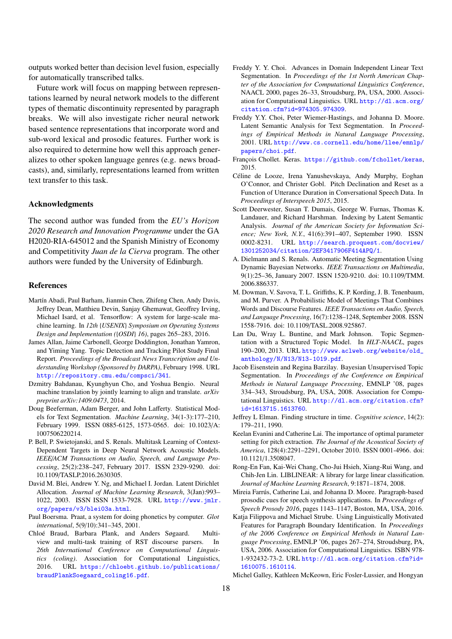outputs worked better than decision level fusion, especially for automatically transcribed talks.

Future work will focus on mapping between representations learned by neural network models to the different types of thematic discontinuity represented by paragraph breaks. We will also investigate richer neural network based sentence representations that incorporate word and sub-word lexical and prosodic features. Further work is also required to determine how well this approach generalizes to other spoken language genres (e.g. news broadcasts), and, similarly, representations learned from written text transfer to this task.

#### Acknowledgments

The second author was funded from the *EU's Horizon 2020 Research and Innovation Programme* under the GA H2020-RIA-645012 and the Spanish Ministry of Economy and Competitivity *Juan de la Cierva* program. The other authors were funded by the University of Edinburgh.

#### References

- <span id="page-18-17"></span>Martín Abadi, Paul Barham, Jianmin Chen, Zhifeng Chen, Andy Davis, Jeffrey Dean, Matthieu Devin, Sanjay Ghemawat, Geoffrey Irving, Michael Isard, et al. Tensorflow: A system for large-scale machine learning. In *12th* {*USENIX*} *Symposium on Operating Systems Design and Implementation (*{*OSDI*} *16)*, pages 265–283, 2016.
- <span id="page-18-4"></span>James Allan, Jaime Carbonell, George Doddington, Jonathan Yamron, and Yiming Yang. Topic Detection and Tracking Pilot Study Final Report. *Proceedings of the Broadcast News Transcription and Understanding Workshop (Sponsored by DARPA)*, February 1998. URL <http://repository.cmu.edu/compsci/341>.
- <span id="page-18-20"></span>Dzmitry Bahdanau, Kyunghyun Cho, and Yoshua Bengio. Neural machine translation by jointly learning to align and translate. *arXiv preprint arXiv:1409.0473*, 2014.
- <span id="page-18-19"></span>Doug Beeferman, Adam Berger, and John Lafferty. Statistical Models for Text Segmentation. *Machine Learning*, 34(1-3):177–210, February 1999. ISSN 0885-6125, 1573-0565. doi: 10.1023/A: 1007506220214.
- <span id="page-18-18"></span>P. Bell, P. Swietojanski, and S. Renals. Multitask Learning of Context-Dependent Targets in Deep Neural Network Acoustic Models. *IEEE*/*ACM Transactions on Audio, Speech, and Language Processing*, 25(2):238–247, February 2017. ISSN 2329-9290. doi: 10.1109/TASLP.2016.2630305.
- <span id="page-18-12"></span>David M. Blei, Andrew Y. Ng, and Michael I. Jordan. Latent Dirichlet Allocation. *Journal of Machine Learning Research*, 3(Jan):993– 1022, 2003. ISSN ISSN 1533-7928. URL [http://www.jmlr.](http://www.jmlr.org/papers/v3/blei03a.html) [org/papers/v3/blei03a.html](http://www.jmlr.org/papers/v3/blei03a.html).
- <span id="page-18-10"></span>Paul Boersma. Praat, a system for doing phonetics by computer. *Glot international*, 5(9/10):341–345, 2001.
- <span id="page-18-21"></span>Chloé Braud, Barbara Plank, and Anders Søgaard. Multiview and multi-task training of RST discourse parsers. In *26th International Conference on Computational Linguistics (coling)*. Association for Computational Linguistics, 2016. URL [https://chloebt.github.io/publications/](https://chloebt.github.io/publications/braudPlankSoegaard_coling16.pdf) [braudPlankSoegaard\\_coling16.pdf](https://chloebt.github.io/publications/braudPlankSoegaard_coling16.pdf).
- <span id="page-18-3"></span>Freddy Y. Y. Choi. Advances in Domain Independent Linear Text Segmentation. In *Proceedings of the 1st North American Chapter of the Association for Computational Linguistics Conference*, NAACL 2000, pages 26–33, Stroudsburg, PA, USA, 2000. Association for Computational Linguistics. URL [http://dl.acm.org/](http://dl.acm.org/citation.cfm?id=974305.974309) [citation.cfm?id=974305.974309](http://dl.acm.org/citation.cfm?id=974305.974309).
- <span id="page-18-5"></span>Freddy Y.Y. Choi, Peter Wiemer-Hastings, and Johanna D. Moore. Latent Semantic Analysis for Text Segmentation. In *Proceedings of Empirical Methods in Natural Language Processing*, 2001. URL [http://www.cs.cornell.edu/home/llee/emnlp/](http://www.cs.cornell.edu/home/llee/emnlp/papers/choi.pdf) [papers/choi.pdf](http://www.cs.cornell.edu/home/llee/emnlp/papers/choi.pdf).
- <span id="page-18-16"></span>François Chollet. Keras. <https://github.com/fchollet/keras>, 2015.
- <span id="page-18-6"></span>Céline de Looze, Irena Yanushevskaya, Andy Murphy, Eoghan O'Connor, and Christer Gobl. Pitch Declination and Reset as a Function of Utterance Duration in Conversational Speech Data. In *Proceedings of Interspeech 2015*, 2015.
- <span id="page-18-13"></span>Scott Deerwester, Susan T. Dumais, George W. Furnas, Thomas K. Landauer, and Richard Harshman. Indexing by Latent Semantic Analysis. *Journal of the American Society for Information Science; New York, N.Y.*, 41(6):391–407, September 1990. ISSN 0002-8231. URL [http://search.proquest.com/docview/](http://search.proquest.com/docview/1301252034/citation/2EF3417906F414APQ/1) [1301252034/citation/2EF3417906F414APQ/1](http://search.proquest.com/docview/1301252034/citation/2EF3417906F414APQ/1).
- <span id="page-18-8"></span>A. Dielmann and S. Renals. Automatic Meeting Segmentation Using Dynamic Bayesian Networks. *IEEE Transactions on Multimedia*, 9(1):25–36, January 2007. ISSN 1520-9210. doi: 10.1109/TMM. 2006.886337.
- <span id="page-18-9"></span>M. Dowman, V. Savova, T. L. Griffiths, K. P. Kording, J. B. Tenenbaum, and M. Purver. A Probabilistic Model of Meetings That Combines Words and Discourse Features. *IEEE Transactions on Audio, Speech, and Language Processing*, 16(7):1238–1248, September 2008. ISSN 1558-7916. doi: 10.1109/TASL.2008.925867.
- <span id="page-18-22"></span>Lan Du, Wray L. Buntine, and Mark Johnson. Topic Segmentation with a Structured Topic Model. In *HLT-NAACL*, pages 190–200, 2013. URL [http://www.aclweb.org/website/old\\_](http://www.aclweb.org/website/old_anthology/N/N13/N13-1019.pdf) [anthology/N/N13/N13-1019.pdf](http://www.aclweb.org/website/old_anthology/N/N13/N13-1019.pdf).
- <span id="page-18-0"></span>Jacob Eisenstein and Regina Barzilay. Bayesian Unsupervised Topic Segmentation. In *Proceedings of the Conference on Empirical Methods in Natural Language Processing*, EMNLP '08, pages 334–343, Stroudsburg, PA, USA, 2008. Association for Computational Linguistics. URL [http://dl.acm.org/citation.cfm?](http://dl.acm.org/citation.cfm?id=1613715.1613760) [id=1613715.1613760](http://dl.acm.org/citation.cfm?id=1613715.1613760).
- <span id="page-18-15"></span>Jeffrey L Elman. Finding structure in time. *Cognitive science*, 14(2): 179–211, 1990.
- <span id="page-18-11"></span>Keelan Evanini and Catherine Lai. The importance of optimal parameter setting for pitch extraction. *The Journal of the Acoustical Society of America*, 128(4):2291–2291, October 2010. ISSN 0001-4966. doi: 10.1121/1.3508047.
- <span id="page-18-14"></span>Rong-En Fan, Kai-Wei Chang, Cho-Jui Hsieh, Xiang-Rui Wang, and Chih-Jen Lin. LIBLINEAR: A library for large linear classification. *Journal of Machine Learning Research*, 9:1871–1874, 2008.
- <span id="page-18-1"></span>Mireia Farrús, Catherine Lai, and Johanna D. Moore. Paragraph-based prosodic cues for speech synthesis applications. In *Proceedings of Speech Prosody 2016*, pages 1143–1147, Boston, MA, USA, 2016.
- <span id="page-18-2"></span>Katja Filippova and Michael Strube. Using Linguistically Motivated Features for Paragraph Boundary Identification. In *Proceedings of the 2006 Conference on Empirical Methods in Natural Language Processing*, EMNLP '06, pages 267–274, Stroudsburg, PA, USA, 2006. Association for Computational Linguistics. ISBN 978- 1-932432-73-2. URL [http://dl.acm.org/citation.cfm?id=](http://dl.acm.org/citation.cfm?id=1610075.1610114) [1610075.1610114](http://dl.acm.org/citation.cfm?id=1610075.1610114).
- <span id="page-18-7"></span>Michel Galley, Kathleen McKeown, Eric Fosler-Lussier, and Hongyan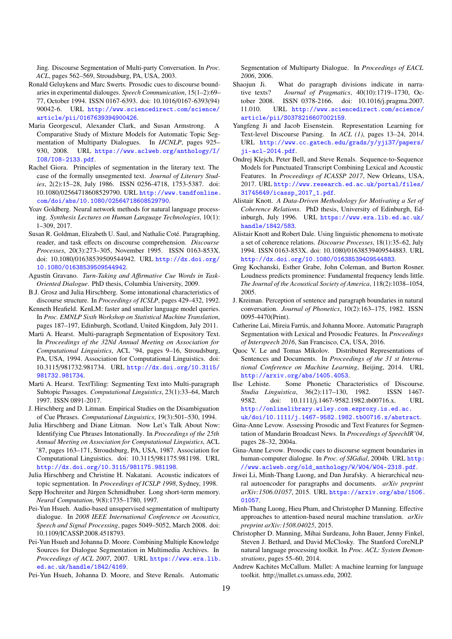Jing. Discourse Segmentation of Multi-party Conversation. In *Proc. ACL*, pages 562–569, Stroudsburg, PA, USA, 2003.

- <span id="page-19-9"></span>Ronald Geluykens and Marc Swerts. Prosodic cues to discourse boundaries in experimental dialouges. *Speech Communication*, 15(1–2):69– 77, October 1994. ISSN 0167-6393. doi: 10.1016/0167-6393(94) 90042-6. URL [http://www.sciencedirect.com/science/](http://www.sciencedirect.com/science/article/pii/0167639394900426) [article/pii/0167639394900426](http://www.sciencedirect.com/science/article/pii/0167639394900426).
- <span id="page-19-7"></span>Maria Georgescul, Alexander Clark, and Susan Armstrong. A Comparative Study of Mixture Models for Automatic Topic Segmentation of Multiparty Dialogues. In *IJCNLP*, pages 925– 930, 2008. URL [https://www.aclweb.org/anthology/I/](https://www.aclweb.org/anthology/I/I08/I08-2133.pdf) [I08/I08-2133.pdf](https://www.aclweb.org/anthology/I/I08/I08-2133.pdf).
- <span id="page-19-1"></span>Rachel Giora. Principles of segmentation in the literary text. The case of the formally unsegmented text. *Journal of Literary Studies*, 2(2):15–28, July 1986. ISSN 0256-4718, 1753-5387. doi: 10.1080/02564718608529790. URL [http://www.tandfonline.](http://www.tandfonline.com/doi/abs/10.1080/02564718608529790) [com/doi/abs/10.1080/02564718608529790](http://www.tandfonline.com/doi/abs/10.1080/02564718608529790).
- <span id="page-19-29"></span>Yoav Goldberg. Neural network methods for natural language processing. *Synthesis Lectures on Human Language Technologies*, 10(1): 1–309, 2017.
- <span id="page-19-0"></span>Susan R. Goldman, Elizabeth U. Saul, and Nathalie Coté. Paragraphing, reader, and task effects on discourse comprehension. *Discourse Processes*, 20(3):273–305, November 1995. ISSN 0163-853X. doi: 10.1080/01638539509544942. URL [http://dx.doi.org/](http://dx.doi.org/10.1080/01638539509544942) [10.1080/01638539509544942](http://dx.doi.org/10.1080/01638539509544942).
- <span id="page-19-20"></span>Agustín Gravano. *Turn-Taking and A*ffi*rmative Cue Words in Task-Oriented Dialogue*. PhD thesis, Columbia University, 2009.
- <span id="page-19-10"></span>B.J. Grosz and Julia Hirschberg. Some intonational characteristics of discourse structure. In *Proceedings of ICSLP*, pages 429–432, 1992.
- <span id="page-19-23"></span>Kenneth Heafield. KenLM: faster and smaller language model queries. In *Proc. EMNLP Sixth Workshop on Statistical Machine Translation*, pages 187–197, Edinburgh, Scotland, United Kingdom, July 2011.
- <span id="page-19-6"></span>Marti A. Hearst. Multi-paragraph Segmentation of Expository Text. In *Proceedings of the 32Nd Annual Meeting on Association for Computational Linguistics*, ACL '94, pages 9–16, Stroudsburg, PA, USA, 1994. Association for Computational Linguistics. doi: 10.3115/981732.981734. URL [http://dx.doi.org/10.3115/](http://dx.doi.org/10.3115/981732.981734) [981732.981734](http://dx.doi.org/10.3115/981732.981734).
- <span id="page-19-27"></span>Marti A. Hearst. TextTiling: Segmenting Text into Multi-paragraph Subtopic Passages. *Computational Linguistics*, 23(1):33–64, March 1997. ISSN 0891-2017.
- <span id="page-19-4"></span>J. Hirschberg and D. Litman. Empirical Studies on the Disambiguation of Cue Phrases. *Computational Linguistics*, 19(3):501–530, 1994.
- <span id="page-19-18"></span>Julia Hirschberg and Diane Litman. Now Let's Talk About Now: Identifying Cue Phrases Intonationally. In *Proceedings of the 25th Annual Meeting on Association for Computational Linguistics*, ACL '87, pages 163–171, Stroudsburg, PA, USA, 1987. Association for Computational Linguistics. doi: 10.3115/981175.981198. URL <http://dx.doi.org/10.3115/981175.981198>.
- <span id="page-19-13"></span>Julia Hirschberg and Christine H. Nakatani. Acoustic indicators of topic segmentation. In *Proceedings of ICSLP 1998*, Sydney, 1998.
- <span id="page-19-28"></span>Sepp Hochreiter and Jürgen Schmidhuber. Long short-term memory. *Neural Computation*, 9(8):1735–1780, 1997.
- <span id="page-19-15"></span>Pei-Yun Hsueh. Audio-based unsupervised segmentation of multiparty dialogue. In *2008 IEEE International Conference on Acoustics, Speech and Signal Processing*, pages 5049–5052, March 2008. doi: 10.1109/ICASSP.2008.4518793.
- <span id="page-19-16"></span>Pei-Yun Hsueh and Johanna D. Moore. Combining Multiple Knowledge Sources for Dialogue Segmentation in Multimedia Archives. In *Proceedings of ACL 2007*, 2007. URL [https://www.era.lib.](https://www.era.lib.ed.ac.uk/handle/1842/4169) [ed.ac.uk/handle/1842/4169](https://www.era.lib.ed.ac.uk/handle/1842/4169).
- <span id="page-19-3"></span>Pei-Yun Hsueh, Johanna D. Moore, and Steve Renals. Automatic

Segmentation of Multiparty Dialogue. In *Proceedings of EACL 2006*, 2006.

- <span id="page-19-2"></span>Shaojun Ji. What do paragraph divisions indicate in narrative texts? *Journal of Pragmatics*, 40(10):1719–1730, October 2008. ISSN 0378-2166. doi: 10.1016/j.pragma.2007. 11.010. URL [http://www.sciencedirect.com/science/](http://www.sciencedirect.com/science/article/pii/S0378216607002159) [article/pii/S0378216607002159](http://www.sciencedirect.com/science/article/pii/S0378216607002159).
- <span id="page-19-32"></span>Yangfeng Ji and Jacob Eisenstein. Representation Learning for Text-level Discourse Parsing. In *ACL (1)*, pages 13–24, 2014. URL [http://www.cc.gatech.edu/grads/y/yji37/papers/](http://www.cc.gatech.edu/grads/y/yji37/papers/ji-acl-2014.pdf) [ji-acl-2014.pdf](http://www.cc.gatech.edu/grads/y/yji37/papers/ji-acl-2014.pdf).
- <span id="page-19-19"></span>Ondrej Klejch, Peter Bell, and Steve Renals. Sequence-to-Sequence Models for Punctuated Transcript Combining Lexical and Acoustic Features. In *Proceedings of ICASSP 2017*, New Orleans, USA, 2017. URL [http://www.research.ed.ac.uk/portal/files/](http://www.research.ed.ac.uk/portal/files/31745649/icassp_2017_1.pdf) [31745649/icassp\\_2017\\_1.pdf](http://www.research.ed.ac.uk/portal/files/31745649/icassp_2017_1.pdf).
- <span id="page-19-24"></span>Alistair Knott. *A Data-Driven Methodology for Motivating a Set of Coherence Relations*. PhD thesis, University of Edinburgh, Edinburgh, July 1996. URL [https://www.era.lib.ed.ac.uk/](https://www.era.lib.ed.ac.uk/handle/1842/583) [handle/1842/583](https://www.era.lib.ed.ac.uk/handle/1842/583).
- <span id="page-19-17"></span>Alistair Knott and Robert Dale. Using linguistic phenomena to motivate a set of coherence relations. *Discourse Processes*, 18(1):35–62, July 1994. ISSN 0163-853X. doi: 10.1080/01638539409544883. URL <http://dx.doi.org/10.1080/01638539409544883>.
- <span id="page-19-22"></span>Greg Kochanski, Esther Grabe, John Coleman, and Burton Rosner. Loudness predicts prominence: Fundamental frequency lends little. *The Journal of the Acoustical Society of America*, 118(2):1038–1054, 2005.
- <span id="page-19-8"></span>J. Kreiman. Perception of sentence and paragraph boundaries in natural conversation. *Journal of Phonetics*, 10(2):163–175, 1982. ISSN 0095-4470(Print).
- <span id="page-19-5"></span>Catherine Lai, Mireia Farrús, and Johanna Moore. Automatic Paragraph Segmentation with Lexical and Prosodic Features. In *Proceedings of Interspeech 2016*, San Francisco, CA, USA, 2016.
- <span id="page-19-25"></span>Quoc V. Le and Tomas Mikolov. Distributed Representations of Sentences and Documents. In *Proceedings of the 31 st International Conference on Machine Learning*, Beijing, 2014. URL <http://arxiv.org/abs/1405.4053>.
- <span id="page-19-11"></span>Ilse Lehiste. Some Phonetic Characteristics of Discourse. *Studia Linguistica*, 36(2):117–130, 1982. ISSN 1467- 9582. doi: 10.1111/j.1467-9582.1982.tb00716.x. URL [http://onlinelibrary.wiley.com.ezproxy.is.ed.ac.](http://onlinelibrary.wiley.com.ezproxy.is.ed.ac.uk/doi/10.1111/j.1467-9582.1982.tb00716.x/abstract) [uk/doi/10.1111/j.1467-9582.1982.tb00716.x/abstract](http://onlinelibrary.wiley.com.ezproxy.is.ed.ac.uk/doi/10.1111/j.1467-9582.1982.tb00716.x/abstract).
- <span id="page-19-12"></span>Gina-Anne Levow. Assessing Prosodic and Text Features for Segmentation of Mandarin Broadcast News. In *Proceedings of SpeechIR'04*, pages 28–32, 2004a.
- <span id="page-19-14"></span>Gina-Anne Levow. Prosodic cues to discourse segment boundaries in human-computer dialogue. In *Proc. of SIGdial*, 2004b. URL [http:](http://www.aclweb.org/old_anthology/W/W04/W04-2318.pdf) [//www.aclweb.org/old\\_anthology/W/W04/W04-2318.pdf](http://www.aclweb.org/old_anthology/W/W04/W04-2318.pdf).
- <span id="page-19-30"></span>Jiwei Li, Minh-Thang Luong, and Dan Jurafsky. A hierarchical neural autoencoder for paragraphs and documents. *arXiv preprint arXiv:1506.01057*, 2015. URL [https://arxiv.org/abs/1506.](https://arxiv.org/abs/1506.01057) [01057](https://arxiv.org/abs/1506.01057).
- <span id="page-19-31"></span>Minh-Thang Luong, Hieu Pham, and Christopher D Manning. Effective approaches to attention-based neural machine translation. *arXiv preprint arXiv:1508.04025*, 2015.
- <span id="page-19-21"></span>Christopher D. Manning, Mihai Surdeanu, John Bauer, Jenny Finkel, Steven J. Bethard, and David McClosky. The Stanford CoreNLP natural language processing toolkit. In *Proc. ACL: System Demonstrations*, pages 55–60, 2014.
- <span id="page-19-26"></span>Andrew Kachites McCallum. Mallet: A machine learning for language toolkit. http://mallet.cs.umass.edu, 2002.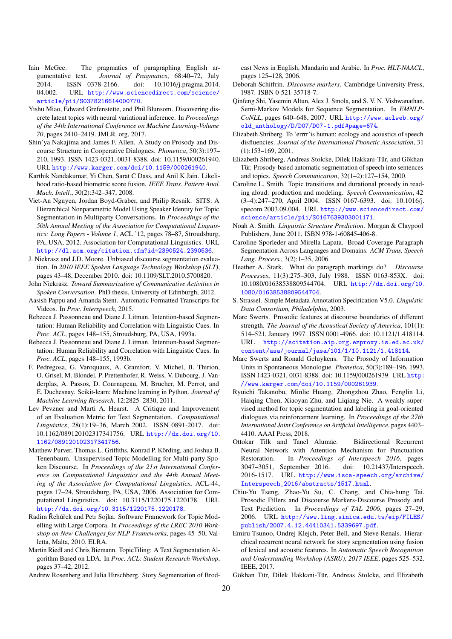- <span id="page-20-4"></span>Iain McGee. The pragmatics of paragraphing English argumentative text. *Journal of Pragmatics*, 68:40–72, July 2014. ISSN 0378-2166. doi: 10.1016/j.pragma.2014. 04.002. URL [http://www.sciencedirect.com/science/](http://www.sciencedirect.com/science/article/pii/S0378216614000770) [article/pii/S0378216614000770](http://www.sciencedirect.com/science/article/pii/S0378216614000770).
- <span id="page-20-27"></span>Yishu Miao, Edward Grefenstette, and Phil Blunsom. Discovering discrete latent topics with neural variational inference. In *Proceedings of the 34th International Conference on Machine Learning-Volume 70*, pages 2410–2419. JMLR. org, 2017.
- <span id="page-20-9"></span>Shin'ya Nakajima and James F. Allen. A Study on Prosody and Discourse Structure in Cooperative Dialogues. *Phonetica*, 50(3):197– 210, 1993. ISSN 1423-0321, 0031-8388. doi: 10.1159/000261940. URL <http://www.karger.com/doi/10.1159/000261940>.
- <span id="page-20-21"></span>Karthik Nandakumar, Yi Chen, Sarat C Dass, and Anil K Jain. Likelihood ratio-based biometric score fusion. *IEEE Trans. Pattern Anal. Mach. Intell.*, 30(2):342–347, 2008.
- <span id="page-20-26"></span>Viet-An Nguyen, Jordan Boyd-Graber, and Philip Resnik. SITS: A Hierarchical Nonparametric Model Using Speaker Identity for Topic Segmentation in Multiparty Conversations. In *Proceedings of the 50th Annual Meeting of the Association for Computational Linguistics: Long Papers - Volume 1*, ACL '12, pages 78–87, Stroudsburg, PA, USA, 2012. Association for Computational Linguistics. URL <http://dl.acm.org/citation.cfm?id=2390524.2390536>.
- <span id="page-20-19"></span>J. Niekrasz and J.D. Moore. Unbiased discourse segmentation evaluation. In *2010 IEEE Spoken Language Technology Workshop (SLT)*, pages 43–48, December 2010. doi: 10.1109/SLT.2010.5700820.
- <span id="page-20-31"></span>John Niekrasz. *Toward Summarization of Communicative Activities in Spoken Conversation*. PhD thesis, University of Edinburgh, 2012.
- <span id="page-20-3"></span>Aasish Pappu and Amanda Stent. Automatic Formatted Transcripts for Videos. In *Proc. Interspeech*, 2015.
- <span id="page-20-30"></span>Rebecca J. Passonneau and Diane J. Litman. Intention-based Segmentation: Human Reliability and Correlation with Linguistic Cues. In *Proc. ACL*, pages 148–155, Stroudsburg, PA, USA, 1993a.
- <span id="page-20-5"></span>Rebecca J. Passonneau and Diane J. Litman. Intention-based Segmentation: Human Reliability and Correlation with Linguistic Cues. In *Proc. ACL*, pages 148–155, 1993b.
- <span id="page-20-20"></span>F. Pedregosa, G. Varoquaux, A. Gramfort, V. Michel, B. Thirion, O. Grisel, M. Blondel, P. Prettenhofer, R. Weiss, V. Dubourg, J. Vanderplas, A. Passos, D. Cournapeau, M. Brucher, M. Perrot, and E. Duchesnay. Scikit-learn: Machine learning in Python. *Journal of Machine Learning Research*, 12:2825–2830, 2011.
- <span id="page-20-22"></span>Lev Pevzner and Marti A. Hearst. A Critique and Improvement of an Evaluation Metric for Text Segmentation. *Computational Linguistics*, 28(1):19–36, March 2002. ISSN 0891-2017. doi: 10.1162/089120102317341756. URL [http://dx.doi.org/10.](http://dx.doi.org/10.1162/089120102317341756) [1162/089120102317341756](http://dx.doi.org/10.1162/089120102317341756).
- <span id="page-20-7"></span>Matthew Purver, Thomas L. Griffiths, Konrad P. Körding, and Joshua B. Tenenbaum. Unsupervised Topic Modelling for Multi-party Spoken Discourse. In *Proceedings of the 21st International Conference on Computational Linguistics and the 44th Annual Meeting of the Association for Computational Linguistics*, ACL-44, pages 17–24, Stroudsburg, PA, USA, 2006. Association for Computational Linguistics. doi: 10.3115/1220175.1220178. URL <http://dx.doi.org/10.3115/1220175.1220178>.
- <span id="page-20-18"></span>Radim Řehůřek and Petr Sojka. Software Framework for Topic Modelling with Large Corpora. In *Proceedings of the LREC 2010 Workshop on New Challenges for NLP Frameworks*, pages 45–50, Valletta, Malta, 2010. ELRA.
- <span id="page-20-8"></span>Martin Riedl and Chris Biemann. TopicTiling: A Text Segmentation Algorithm Based on LDA. In *Proc. ACL: Student Research Workshop*, pages 37–42, 2012.
- <span id="page-20-16"></span>Andrew Rosenberg and Julia Hirschberg. Story Segmentation of Brod-

cast News in English, Mandarin and Arabic. In *Proc. HLT-NAACL*, pages 125–128, 2006.

- <span id="page-20-15"></span>Deborah Schiffrin. *Discourse markers*. Cambridge University Press, 1987. ISBN 0-521-35718-7.
- <span id="page-20-6"></span>Qinfeng Shi, Yasemin Altun, Alex J. Smola, and S. V. N. Vishwanathan. Semi-Markov Models for Sequence Segmentation. In *EMNLP-CoNLL*, pages 640–648, 2007. URL [http://www.aclweb.org/](http://www.aclweb.org/old_anthology/D/D07/D07-1.pdf#page=674) [old\\_anthology/D/D07/D07-1.pdf#page=674](http://www.aclweb.org/old_anthology/D/D07/D07-1.pdf#page=674).
- <span id="page-20-25"></span>Elizabeth Shriberg. To 'errrr'is human: ecology and acoustics of speech disfluencies. *Journal of the International Phonetic Association*, 31 (1):153–169, 2001.
- <span id="page-20-13"></span>Elizabeth Shriberg, Andreas Stolcke, Dilek Hakkani-Tür, and Gökhan Tür. Prosody-based automatic segmentation of speech into sentences and topics. *Speech Communication*, 32(1–2):127–154, 2000.
- <span id="page-20-12"></span>Caroline L. Smith. Topic transitions and durational prosody in reading aloud: production and modeling. *Speech Communication*, 42 (3–4):247–270, April 2004. ISSN 0167-6393. doi: 10.1016/j. specom.2003.09.004. URL [http://www.sciencedirect.com/](http://www.sciencedirect.com/science/article/pii/S0167639303001171) [science/article/pii/S0167639303001171](http://www.sciencedirect.com/science/article/pii/S0167639303001171).
- <span id="page-20-23"></span>Noah A. Smith. *Linguistic Structure Prediction*. Morgan & Claypool Publishers, June 2011. ISBN 978-1-60845-406-8.
- <span id="page-20-2"></span>Caroline Sporleder and Mirella Lapata. Broad Coverage Paragraph Segmentation Across Languages and Domains. *ACM Trans. Speech Lang. Process.*, 3(2):1–35, 2006.
- <span id="page-20-29"></span>Heather A. Stark. What do paragraph markings do? *Discourse Processes*, 11(3):275–303, July 1988. ISSN 0163-853X. doi: 10.1080/01638538809544704. URL [http://dx.doi.org/10.](http://dx.doi.org/10.1080/01638538809544704) [1080/01638538809544704](http://dx.doi.org/10.1080/01638538809544704).
- <span id="page-20-24"></span>S. Strassel. Simple Metadata Annotation Specification V5.0. *Linguistic Data Consortium, Philadelphia*, 2003.
- <span id="page-20-10"></span>Marc Swerts. Prosodic features at discourse boundaries of different strength. *The Journal of the Acoustical Society of America*, 101(1): 514–521, January 1997. ISSN 0001-4966. doi: 10.1121/1.418114. URL [http://scitation.aip.org.ezproxy.is.ed.ac.uk/](http://scitation.aip.org.ezproxy.is.ed.ac.uk/content/asa/journal/jasa/101/1/10.1121/1.418114) [content/asa/journal/jasa/101/1/10.1121/1.418114](http://scitation.aip.org.ezproxy.is.ed.ac.uk/content/asa/journal/jasa/101/1/10.1121/1.418114).
- <span id="page-20-14"></span>Marc Swerts and Ronald Geluykens. The Prosody of Information Units in Spontaneous Monologue. *Phonetica*, 50(3):189–196, 1993. ISSN 1423-0321, 0031-8388. doi: 10.1159/000261939. URL [http:](http://www.karger.com/doi/10.1159/000261939) [//www.karger.com/doi/10.1159/000261939](http://www.karger.com/doi/10.1159/000261939).
- <span id="page-20-28"></span>Ryuichi Takanobu, Minlie Huang, Zhongzhou Zhao, Fenglin Li, Haiqing Chen, Xiaoyan Zhu, and Liqiang Nie. A weakly supervised method for topic segmentation and labeling in goal-oriented dialogues via reinforcement learning. In *Proceedings of the 27th International Joint Conference on Artificial Intelligence*, pages 4403– 4410. AAAI Press, 2018.
- <span id="page-20-17"></span>Ottokar Tilk and Tanel Alumäe. Bidirectional Recurrent Neural Network with Attention Mechanism for Punctuation Restoration. In *Proceedings of Interspeech 2016*, pages 3047–3051, September 2016. doi: 10.21437/Interspeech. 2016-1517. URL [http://www.isca-speech.org/archive/](http://www.isca-speech.org/archive/Interspeech_2016/abstracts/1517.html) [Interspeech\\_2016/abstracts/1517.html](http://www.isca-speech.org/archive/Interspeech_2016/abstracts/1517.html).
- <span id="page-20-11"></span>Chiu-Yu Tseng, Zhao-Yu Su, C. Chang, and Chia-hung Tai. Prosodic Fillers and Discourse Markers-Discourse Prosody and Text Prediction. In *Proceedings of TAL 2006*, pages 27–29, 2006. URL [http://www.ling.sinica.edu.tw/eip/FILES/](http://www.ling.sinica.edu.tw/eip/FILES/publish/2007.4.12.44410341.5339697.pdf) [publish/2007.4.12.44410341.5339697.pdf](http://www.ling.sinica.edu.tw/eip/FILES/publish/2007.4.12.44410341.5339697.pdf).
- <span id="page-20-1"></span>Emiru Tsunoo, Ondrej Klejch, Peter Bell, and Steve Renals. Hierarchical recurrent neural network for story segmentation using fusion of lexical and acoustic features. In *Automatic Speech Recognition and Understanding Workshop (ASRU), 2017 IEEE*, pages 525–532. IEEE, 2017.
- <span id="page-20-0"></span>Gökhan Tür, Dilek Hakkani-Tür, Andreas Stolcke, and Elizabeth